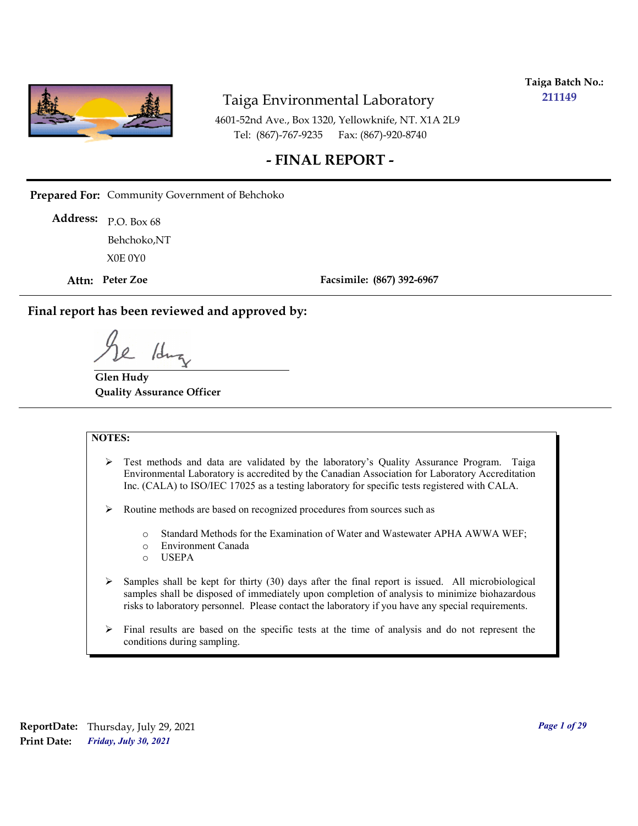

**Taiga Batch No.: 211149**

4601-52nd Ave., Box 1320, Yellowknife, NT. X1A 2L9 Tel: (867)-767-9235 Fax: (867)-920-8740

## **- FINAL REPORT -**

**Prepared For:** Community Government of Behchoko

P.O. Box 68 **Address:** X0E 0Y0 Behchoko,NT

**Attn: Peter Zoe**

**Facsimile: (867) 392-6967**

**Final report has been reviewed and approved by:**

/dr

**Glen Hudy Quality Assurance Officer**

#### **NOTES:**

- $\triangleright$  Test methods and data are validated by the laboratory's Quality Assurance Program. Taiga Environmental Laboratory is accredited by the Canadian Association for Laboratory Accreditation Inc. (CALA) to ISO/IEC 17025 as a testing laboratory for specific tests registered with CALA.
- Routine methods are based on recognized procedures from sources such as
	- o Standard Methods for the Examination of Water and Wastewater APHA AWWA WEF;
	- o Environment Canada
	- o USEPA
- $\triangleright$  Samples shall be kept for thirty (30) days after the final report is issued. All microbiological samples shall be disposed of immediately upon completion of analysis to minimize biohazardous risks to laboratory personnel. Please contact the laboratory if you have any special requirements.
- $\triangleright$  Final results are based on the specific tests at the time of analysis and do not represent the conditions during sampling.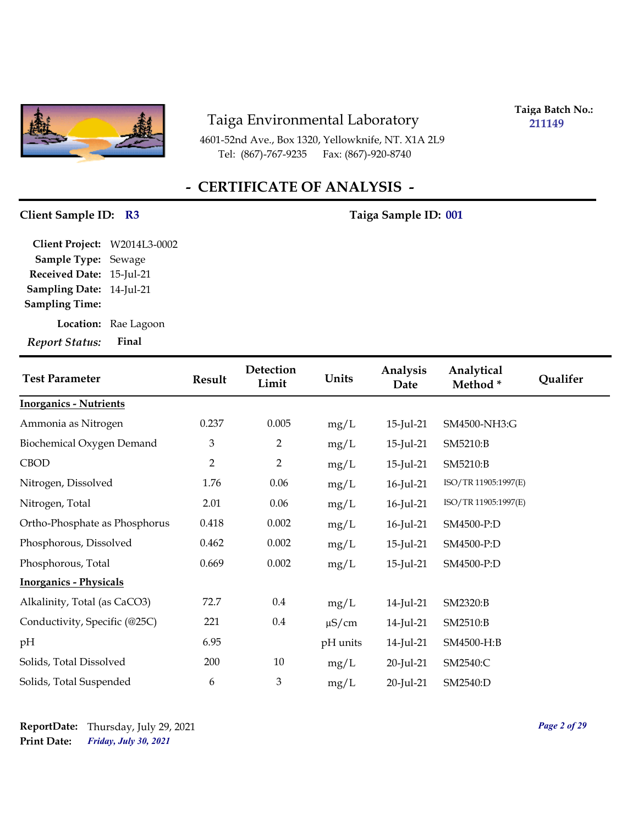

4601-52nd Ave., Box 1320, Yellowknife, NT. X1A 2L9 Tel: (867)-767-9235 Fax: (867)-920-8740

**Taiga Batch No.: 211149**

# **- CERTIFICATE OF ANALYSIS -**

## Client Sample ID: R3 Taiga Sample ID: 001

**Location:** Rae Lagoon **Sampling Date:** 14-Jul-21 **Received Date:** 15-Jul-21 **Client Project:** W2014L3-0002 **Sample Type:** Sewage **Sampling Time:**

| <b>Test Parameter</b>         | <b>Result</b>  | Detection<br>Limit | Units      | Analysis<br>Date | Analytical<br>Method* | Qualifer |
|-------------------------------|----------------|--------------------|------------|------------------|-----------------------|----------|
| <b>Inorganics - Nutrients</b> |                |                    |            |                  |                       |          |
| Ammonia as Nitrogen           | 0.237          | 0.005              | mg/L       | 15-Jul-21        | SM4500-NH3:G          |          |
| Biochemical Oxygen Demand     | 3              | 2                  | mg/L       | 15-Jul-21        | SM5210:B              |          |
| <b>CBOD</b>                   | $\overline{2}$ | 2                  | mg/L       | $15$ -Jul-21     | SM5210:B              |          |
| Nitrogen, Dissolved           | 1.76           | 0.06               | mg/L       | 16-Jul-21        | ISO/TR 11905:1997(E)  |          |
| Nitrogen, Total               | 2.01           | 0.06               | mg/L       | 16-Jul-21        | ISO/TR 11905:1997(E)  |          |
| Ortho-Phosphate as Phosphorus | 0.418          | 0.002              | mg/L       | 16-Jul-21        | SM4500-P:D            |          |
| Phosphorous, Dissolved        | 0.462          | 0.002              | mg/L       | 15-Jul-21        | SM4500-P:D            |          |
| Phosphorous, Total            | 0.669          | 0.002              | mg/L       | 15-Jul-21        | SM4500-P:D            |          |
| <b>Inorganics - Physicals</b> |                |                    |            |                  |                       |          |
| Alkalinity, Total (as CaCO3)  | 72.7           | 0.4                | mg/L       | 14-Jul-21        | SM2320:B              |          |
| Conductivity, Specific (@25C) | 221            | $0.4\,$            | $\mu$ S/cm | 14-Jul-21        | SM2510:B              |          |
| pH                            | 6.95           |                    | pH units   | 14-Jul-21        | SM4500-H:B            |          |
| Solids, Total Dissolved       | 200            | 10                 | mg/L       | 20-Jul-21        | SM2540:C              |          |
| Solids, Total Suspended       | 6              | 3                  | mg/L       | 20-Jul-21        | SM2540:D              |          |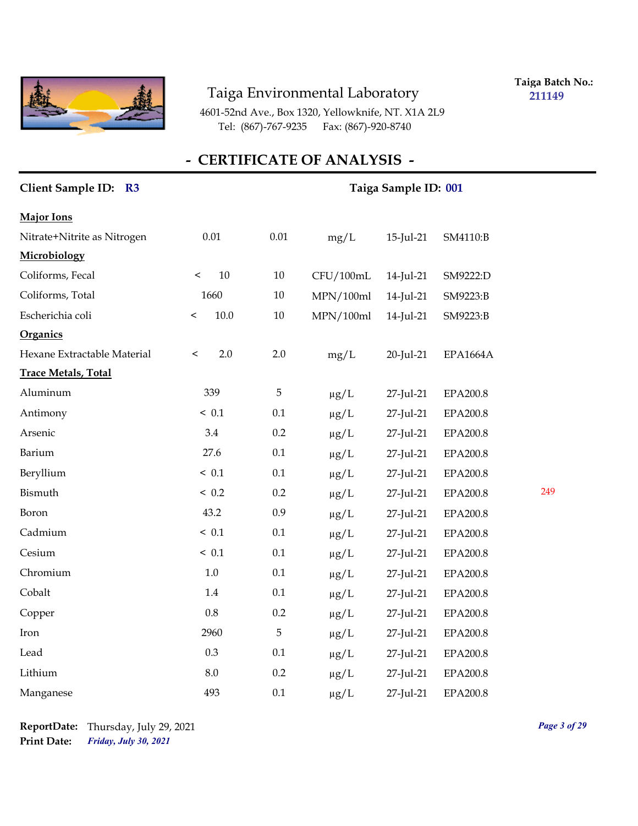

**Taiga Batch No.: 211149**

4601-52nd Ave., Box 1320, Yellowknife, NT. X1A 2L9 Tel: (867)-767-9235 Fax: (867)-920-8740

| Client Sample ID: R3        |                   | Taiga Sample ID: 001 |           |           |                 |     |  |  |
|-----------------------------|-------------------|----------------------|-----------|-----------|-----------------|-----|--|--|
| <b>Major Ions</b>           |                   |                      |           |           |                 |     |  |  |
| Nitrate+Nitrite as Nitrogen | $0.01\,$          | $0.01\,$             | mg/L      | 15-Jul-21 | SM4110:B        |     |  |  |
| Microbiology                |                   |                      |           |           |                 |     |  |  |
| Coliforms, Fecal            | $10\,$<br>$\,<\,$ | $10\,$               | CFU/100mL | 14-Jul-21 | SM9222:D        |     |  |  |
| Coliforms, Total            | 1660              | $10\,$               | MPN/100ml | 14-Jul-21 | SM9223:B        |     |  |  |
| Escherichia coli            | 10.0<br>$\,<\,$   | $10\,$               | MPN/100ml | 14-Jul-21 | SM9223:B        |     |  |  |
| Organics                    |                   |                      |           |           |                 |     |  |  |
| Hexane Extractable Material | 2.0<br>$\,<\,$    | 2.0                  | mg/L      | 20-Jul-21 | <b>EPA1664A</b> |     |  |  |
| <b>Trace Metals, Total</b>  |                   |                      |           |           |                 |     |  |  |
| Aluminum                    | 339               | $\mathbf 5$          | $\mu g/L$ | 27-Jul-21 | <b>EPA200.8</b> |     |  |  |
| Antimony                    | ~< 0.1            | 0.1                  | $\mu g/L$ | 27-Jul-21 | <b>EPA200.8</b> |     |  |  |
| Arsenic                     | 3.4               | 0.2                  | $\mu g/L$ | 27-Jul-21 | EPA200.8        |     |  |  |
| Barium                      | 27.6              | 0.1                  | $\mu g/L$ | 27-Jul-21 | EPA200.8        |     |  |  |
| Beryllium                   | ~< 0.1            | 0.1                  | $\mu g/L$ | 27-Jul-21 | <b>EPA200.8</b> |     |  |  |
| Bismuth                     | < 0.2             | 0.2                  | $\mu g/L$ | 27-Jul-21 | EPA200.8        | 249 |  |  |
| Boron                       | 43.2              | 0.9                  | $\mu g/L$ | 27-Jul-21 | EPA200.8        |     |  |  |
| Cadmium                     | ~< 0.1            | 0.1                  | $\mu g/L$ | 27-Jul-21 | EPA200.8        |     |  |  |
| Cesium                      | ~< 0.1            | 0.1                  | $\mu g/L$ | 27-Jul-21 | EPA200.8        |     |  |  |
| Chromium                    | 1.0               | 0.1                  | $\mu g/L$ | 27-Jul-21 | EPA200.8        |     |  |  |
| Cobalt                      | 1.4               | 0.1                  | $\mu g/L$ | 27-Jul-21 | EPA200.8        |     |  |  |
| Copper                      | $0.8\,$           | 0.2                  | $\mu g/L$ | 27-Jul-21 | <b>EPA200.8</b> |     |  |  |
| Iron                        | 2960              | 5                    | $\mu g/L$ | 27-Jul-21 | EPA200.8        |     |  |  |
| Lead                        | 0.3               | 0.1                  | $\mu g/L$ | 27-Jul-21 | EPA200.8        |     |  |  |
| Lithium                     | 8.0               | 0.2                  | $\mu g/L$ | 27-Jul-21 | EPA200.8        |     |  |  |
| Manganese                   | 493               | 0.1                  | $\mu$ g/L | 27-Jul-21 | EPA200.8        |     |  |  |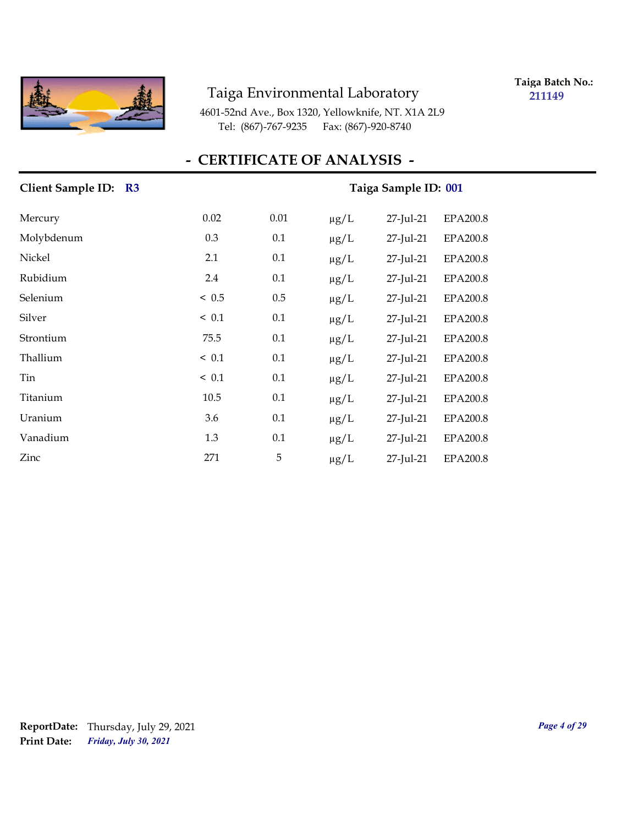

**Taiga Batch No.: 211149**

4601-52nd Ave., Box 1320, Yellowknife, NT. X1A 2L9 Tel: (867)-767-9235 Fax: (867)-920-8740

## **- CERTIFICATE OF ANALYSIS -**

| Client Sample ID: R3 | Taiga Sample ID: 001 |      |           |           |                 |  |  |
|----------------------|----------------------|------|-----------|-----------|-----------------|--|--|
| Mercury              | 0.02                 | 0.01 | $\mu g/L$ | 27-Jul-21 | <b>EPA200.8</b> |  |  |
| Molybdenum           | 0.3                  | 0.1  | $\mu$ g/L | 27-Jul-21 | <b>EPA200.8</b> |  |  |
| Nickel               | 2.1                  | 0.1  | $\mu g/L$ | 27-Jul-21 | <b>EPA200.8</b> |  |  |
| Rubidium             | 2.4                  | 0.1  | $\mu$ g/L | 27-Jul-21 | EPA200.8        |  |  |
| Selenium             | ~< 0.5               | 0.5  | $\mu g/L$ | 27-Jul-21 | <b>EPA200.8</b> |  |  |
| Silver               | ~< 0.1               | 0.1  | $\mu g/L$ | 27-Jul-21 | <b>EPA200.8</b> |  |  |
| Strontium            | 75.5                 | 0.1  | $\mu$ g/L | 27-Jul-21 | EPA200.8        |  |  |
| Thallium             | ~< 0.1               | 0.1  | $\mu g/L$ | 27-Jul-21 | EPA200.8        |  |  |
| Tin                  | ~< 0.1               | 0.1  | $\mu g/L$ | 27-Jul-21 | <b>EPA200.8</b> |  |  |
| Titanium             | 10.5                 | 0.1  | $\mu$ g/L | 27-Jul-21 | <b>EPA200.8</b> |  |  |
| Uranium              | 3.6                  | 0.1  | $\mu g/L$ | 27-Jul-21 | <b>EPA200.8</b> |  |  |
| Vanadium             | 1.3                  | 0.1  | $\mu g/L$ | 27-Jul-21 | <b>EPA200.8</b> |  |  |
| Zinc                 | 271                  | 5    | $\mu$ g/L | 27-Jul-21 | <b>EPA200.8</b> |  |  |

*Friday, July 30, 2021* **Print Date: ReportDate:** Thursday, July 29, 2021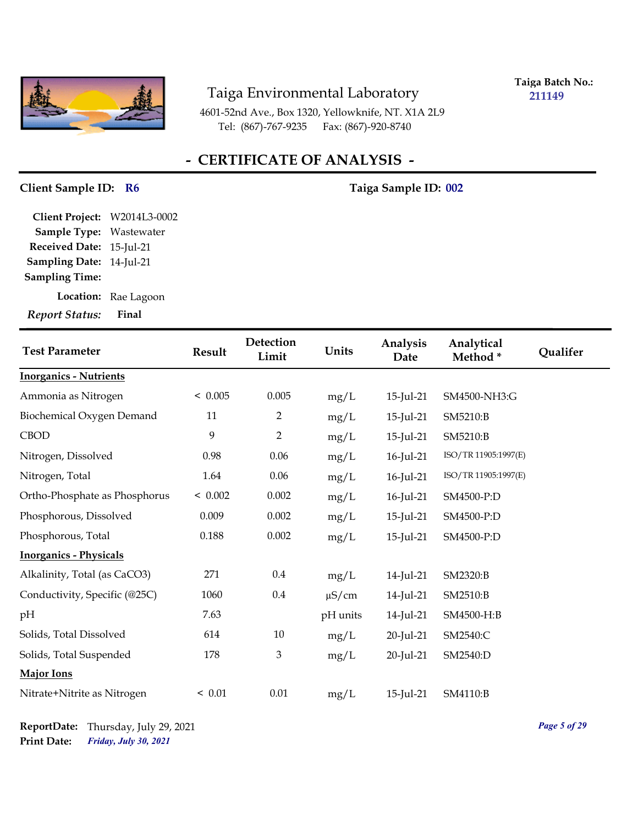

**Taiga Batch No.: 211149**

4601-52nd Ave., Box 1320, Yellowknife, NT. X1A 2L9 Tel: (867)-767-9235 Fax: (867)-920-8740

## **- CERTIFICATE OF ANALYSIS -**

## Client Sample ID: R6 Taiga Sample ID: 002

**Sampling Date:** 14-Jul-21 **Received Date:** 15-Jul-21 **Client Project:** W2014L3-0002 **Sample Type:** Wastewater **Sampling Time:**

**Location:** Rae Lagoon

| <b>Test Parameter</b>         | <b>Result</b> | <b>Detection</b><br>Limit | Units      | Analysis<br>Date | Analytical<br>Method* | Qualifer |
|-------------------------------|---------------|---------------------------|------------|------------------|-----------------------|----------|
| <b>Inorganics - Nutrients</b> |               |                           |            |                  |                       |          |
| Ammonia as Nitrogen           | < 0.005       | 0.005                     | mg/L       | 15-Jul-21        | SM4500-NH3:G          |          |
| Biochemical Oxygen Demand     | 11            | 2                         | mg/L       | 15-Jul-21        | SM5210:B              |          |
| <b>CBOD</b>                   | 9             | $\overline{2}$            | mg/L       | $15$ -Jul-21     | SM5210:B              |          |
| Nitrogen, Dissolved           | 0.98          | 0.06                      | mg/L       | 16-Jul-21        | ISO/TR 11905:1997(E)  |          |
| Nitrogen, Total               | 1.64          | 0.06                      | mg/L       | 16-Jul-21        | ISO/TR 11905:1997(E)  |          |
| Ortho-Phosphate as Phosphorus | < 0.002       | 0.002                     | mg/L       | 16-Jul-21        | SM4500-P:D            |          |
| Phosphorous, Dissolved        | 0.009         | 0.002                     | mg/L       | $15$ -Jul-21     | SM4500-P:D            |          |
| Phosphorous, Total            | 0.188         | 0.002                     | mg/L       | 15-Jul-21        | SM4500-P:D            |          |
| <b>Inorganics - Physicals</b> |               |                           |            |                  |                       |          |
| Alkalinity, Total (as CaCO3)  | 271           | $0.4\,$                   | mg/L       | 14-Jul-21        | SM2320:B              |          |
| Conductivity, Specific (@25C) | 1060          | 0.4                       | $\mu$ S/cm | 14-Jul-21        | SM2510:B              |          |
| pH                            | 7.63          |                           | pH units   | 14-Jul-21        | SM4500-H:B            |          |
| Solids, Total Dissolved       | 614           | 10                        | mg/L       | 20-Jul-21        | SM2540:C              |          |
| Solids, Total Suspended       | 178           | $\mathfrak{Z}$            | mg/L       | 20-Jul-21        | SM2540:D              |          |
| <b>Major Ions</b>             |               |                           |            |                  |                       |          |
| Nitrate+Nitrite as Nitrogen   | < 0.01        | $0.01\,$                  | mg/L       | 15-Jul-21        | SM4110:B              |          |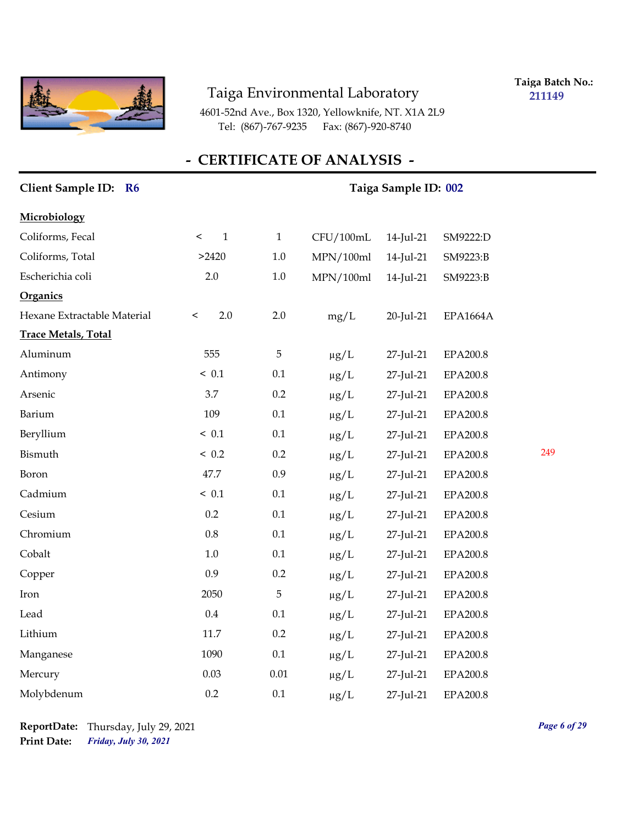

**Taiga Batch No.: 211149**

4601-52nd Ave., Box 1320, Yellowknife, NT. X1A 2L9 Tel: (867)-767-9235 Fax: (867)-920-8740

| Client Sample ID: R6        |                      | Taiga Sample ID: 002 |           |           |                 |     |  |  |
|-----------------------------|----------------------|----------------------|-----------|-----------|-----------------|-----|--|--|
| Microbiology                |                      |                      |           |           |                 |     |  |  |
| Coliforms, Fecal            | $\mathbf 1$<br>$\,<$ | $\,1\,$              | CFU/100mL | 14-Jul-21 | SM9222:D        |     |  |  |
| Coliforms, Total            | >2420                | $1.0\,$              | MPN/100ml | 14-Jul-21 | SM9223:B        |     |  |  |
| Escherichia coli            | 2.0                  | $1.0\,$              | MPN/100ml | 14-Jul-21 | SM9223:B        |     |  |  |
| Organics                    |                      |                      |           |           |                 |     |  |  |
| Hexane Extractable Material | 2.0<br>$\,<\,$       | 2.0                  | mg/L      | 20-Jul-21 | <b>EPA1664A</b> |     |  |  |
| <b>Trace Metals, Total</b>  |                      |                      |           |           |                 |     |  |  |
| Aluminum                    | 555                  | $\mathbf 5$          | $\mu g/L$ | 27-Jul-21 | EPA200.8        |     |  |  |
| Antimony                    | ~< 0.1               | $0.1\,$              | $\mu g/L$ | 27-Jul-21 | EPA200.8        |     |  |  |
| Arsenic                     | 3.7                  | 0.2                  | $\mu g/L$ | 27-Jul-21 | EPA200.8        |     |  |  |
| Barium                      | 109                  | 0.1                  | $\mu g/L$ | 27-Jul-21 | EPA200.8        |     |  |  |
| Beryllium                   | ~< 0.1               | 0.1                  | $\mu g/L$ | 27-Jul-21 | EPA200.8        |     |  |  |
| Bismuth                     | ~< 0.2               | 0.2                  | $\mu g/L$ | 27-Jul-21 | EPA200.8        | 249 |  |  |
| Boron                       | 47.7                 | 0.9                  | $\mu g/L$ | 27-Jul-21 | EPA200.8        |     |  |  |
| Cadmium                     | ~< 0.1               | $0.1\,$              | $\mu g/L$ | 27-Jul-21 | EPA200.8        |     |  |  |
| Cesium                      | 0.2                  | 0.1                  | $\mu g/L$ | 27-Jul-21 | EPA200.8        |     |  |  |
| Chromium                    | 0.8                  | $0.1\,$              | $\mu g/L$ | 27-Jul-21 | EPA200.8        |     |  |  |
| Cobalt                      | $1.0\,$              | $0.1\,$              | $\mu g/L$ | 27-Jul-21 | EPA200.8        |     |  |  |
| Copper                      | 0.9                  | $0.2\,$              | $\mu g/L$ | 27-Jul-21 | EPA200.8        |     |  |  |
| Iron                        | 2050                 | 5                    | $\mu g/L$ | 27-Jul-21 | EPA200.8        |     |  |  |
| Lead                        | $0.4\,$              | 0.1                  | $\mu g/L$ | 27-Jul-21 | EPA200.8        |     |  |  |
| Lithium                     | 11.7                 | 0.2                  | $\mu g/L$ | 27-Jul-21 | EPA200.8        |     |  |  |
| Manganese                   | 1090                 | 0.1                  | $\mu g/L$ | 27-Jul-21 | EPA200.8        |     |  |  |
| Mercury                     | 0.03                 | $0.01\,$             | $\mu$ g/L | 27-Jul-21 | EPA200.8        |     |  |  |
| Molybdenum                  | 0.2                  | 0.1                  | $\mu$ g/L | 27-Jul-21 | <b>EPA200.8</b> |     |  |  |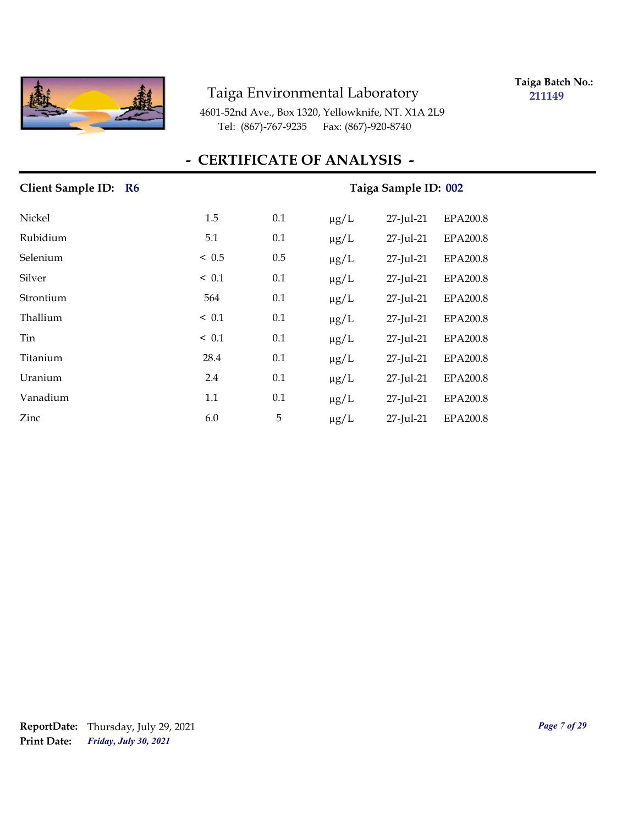

**Taiga Batch No.: 211149**

4601-52nd Ave., Box 1320, Yellowknife, NT. X1A 2L9 Tel: (867)-767-9235 Fax: (867)-920-8740

## **- CERTIFICATE OF ANALYSIS -**

| Client Sample ID: R6 | Taiga Sample ID: 002 |     |           |           |                 |  |  |
|----------------------|----------------------|-----|-----------|-----------|-----------------|--|--|
| Nickel               | 1.5                  | 0.1 | $\mu$ g/L | 27-Jul-21 | <b>EPA200.8</b> |  |  |
| Rubidium             | 5.1                  | 0.1 | $\mu g/L$ | 27-Jul-21 | <b>EPA200.8</b> |  |  |
| Selenium             | < 0.5                | 0.5 | $\mu g/L$ | 27-Jul-21 | <b>EPA200.8</b> |  |  |
| Silver               | ~< 0.1               | 0.1 | $\mu g/L$ | 27-Jul-21 | EPA200.8        |  |  |
| Strontium            | 564                  | 0.1 | $\mu g/L$ | 27-Jul-21 | EPA200.8        |  |  |
| Thallium             | ~< 0.1               | 0.1 | $\mu g/L$ | 27-Jul-21 | EPA200.8        |  |  |
| Tin                  | $\leq 0.1$           | 0.1 | $\mu g/L$ | 27-Jul-21 | EPA200.8        |  |  |
| Titanium             | 28.4                 | 0.1 | $\mu g/L$ | 27-Jul-21 | EPA200.8        |  |  |
| Uranium              | 2.4                  | 0.1 | $\mu g/L$ | 27-Jul-21 | EPA200.8        |  |  |
| Vanadium             | 1.1                  | 0.1 | $\mu g/L$ | 27-Jul-21 | <b>EPA200.8</b> |  |  |
| Zinc                 | 6.0                  | 5   | $\mu$ g/L | 27-Jul-21 | EPA200.8        |  |  |

## *Friday, July 30, 2021* **Print Date: ReportDate:** Thursday, July 29, 2021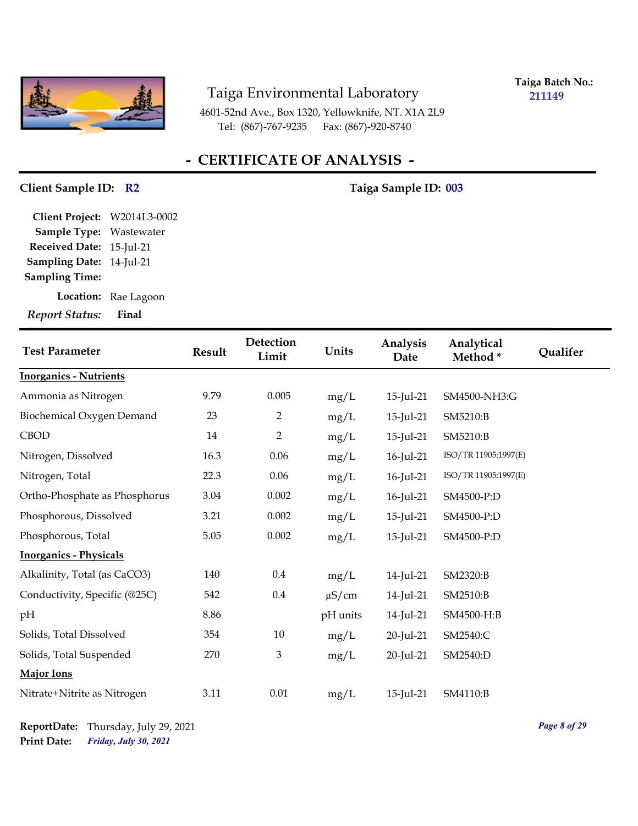

**Taiga Batch No.: 211149**

4601-52nd Ave., Box 1320, Yellowknife, NT. X1A 2L9 Tel: (867)-767-9235 Fax: (867)-920-8740

## **- CERTIFICATE OF ANALYSIS -**

#### Client Sample ID: R2 Taiga Sample ID: 003

**Sampling Date:** 14-Jul-21 **Received Date:** 15-Jul-21 **Client Project:** W2014L3-0002 **Sample Type:** Wastewater **Sampling Time:**

**Location:** Rae Lagoon

| <b>Test Parameter</b>         | <b>Result</b> | Detection<br>Limit | Units      | Analysis<br>Date | Analytical<br>Method* | Qualifer |
|-------------------------------|---------------|--------------------|------------|------------------|-----------------------|----------|
| <b>Inorganics - Nutrients</b> |               |                    |            |                  |                       |          |
| Ammonia as Nitrogen           | 9.79          | 0.005              | mg/L       | 15-Jul-21        | SM4500-NH3:G          |          |
| Biochemical Oxygen Demand     | 23            | $\overline{2}$     | mg/L       | 15-Jul-21        | SM5210:B              |          |
| <b>CBOD</b>                   | 14            | $\overline{2}$     | mg/L       | 15-Jul-21        | SM5210:B              |          |
| Nitrogen, Dissolved           | 16.3          | 0.06               | mg/L       | 16-Jul-21        | ISO/TR 11905:1997(E)  |          |
| Nitrogen, Total               | 22.3          | 0.06               | mg/L       | 16-Jul-21        | ISO/TR 11905:1997(E)  |          |
| Ortho-Phosphate as Phosphorus | 3.04          | 0.002              | mg/L       | 16-Jul-21        | SM4500-P:D            |          |
| Phosphorous, Dissolved        | 3.21          | 0.002              | mg/L       | 15-Jul-21        | SM4500-P:D            |          |
| Phosphorous, Total            | 5.05          | 0.002              | mg/L       | 15-Jul-21        | SM4500-P:D            |          |
| <b>Inorganics - Physicals</b> |               |                    |            |                  |                       |          |
| Alkalinity, Total (as CaCO3)  | 140           | 0.4                | mg/L       | 14-Jul-21        | SM2320:B              |          |
| Conductivity, Specific (@25C) | 542           | 0.4                | $\mu$ S/cm | 14-Jul-21        | SM2510:B              |          |
| pH                            | 8.86          |                    | pH units   | 14-Jul-21        | SM4500-H:B            |          |
| Solids, Total Dissolved       | 354           | 10                 | mg/L       | 20-Jul-21        | SM2540:C              |          |
| Solids, Total Suspended       | 270           | $\mathfrak{Z}$     | mg/L       | 20-Jul-21        | SM2540:D              |          |
| Major Ions                    |               |                    |            |                  |                       |          |
| Nitrate+Nitrite as Nitrogen   | 3.11          | $0.01\,$           | mg/L       | 15-Jul-21        | SM4110:B              |          |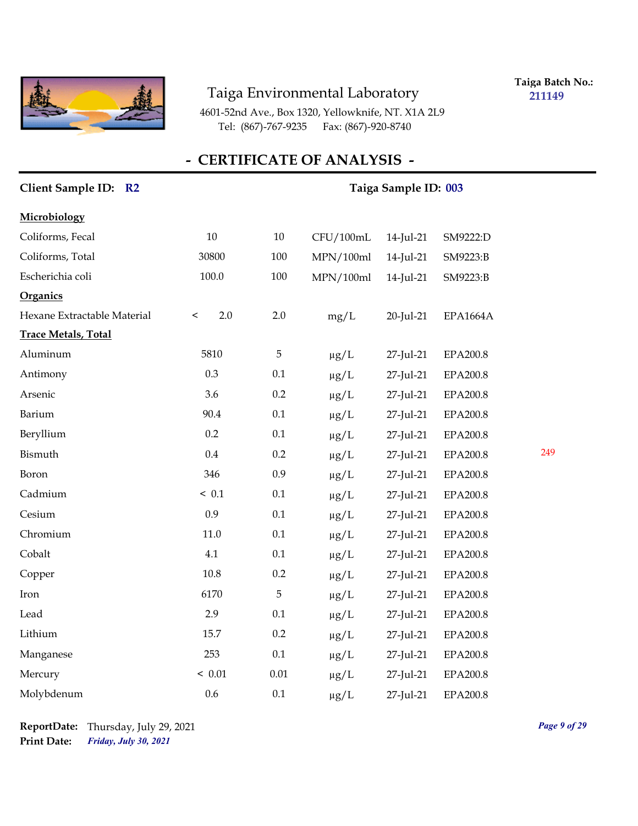

**Taiga Batch No.: 211149**

4601-52nd Ave., Box 1320, Yellowknife, NT. X1A 2L9 Tel: (867)-767-9235 Fax: (867)-920-8740

| Client Sample ID: R2        |                | Taiga Sample ID: 003 |           |           |                 |     |  |
|-----------------------------|----------------|----------------------|-----------|-----------|-----------------|-----|--|
| Microbiology                |                |                      |           |           |                 |     |  |
| Coliforms, Fecal            | 10             | 10                   | CFU/100mL | 14-Jul-21 | SM9222:D        |     |  |
| Coliforms, Total            | 30800          | 100                  | MPN/100ml | 14-Jul-21 | SM9223:B        |     |  |
| Escherichia coli            | $100.0\,$      | 100                  | MPN/100ml | 14-Jul-21 | SM9223:B        |     |  |
| Organics                    |                |                      |           |           |                 |     |  |
| Hexane Extractable Material | 2.0<br>$\,<\,$ | $2.0\,$              | mg/L      | 20-Jul-21 | EPA1664A        |     |  |
| <b>Trace Metals, Total</b>  |                |                      |           |           |                 |     |  |
| Aluminum                    | 5810           | 5                    | $\mu$ g/L | 27-Jul-21 | EPA200.8        |     |  |
| Antimony                    | 0.3            | 0.1                  | $\mu g/L$ | 27-Jul-21 | EPA200.8        |     |  |
| Arsenic                     | 3.6            | 0.2                  | $\mu g/L$ | 27-Jul-21 | EPA200.8        |     |  |
| Barium                      | 90.4           | 0.1                  | $\mu g/L$ | 27-Jul-21 | EPA200.8        |     |  |
| Beryllium                   | 0.2            | 0.1                  | $\mu$ g/L | 27-Jul-21 | <b>EPA200.8</b> |     |  |
| Bismuth                     | $0.4\,$        | 0.2                  | $\mu g/L$ | 27-Jul-21 | EPA200.8        | 249 |  |
| Boron                       | 346            | 0.9                  | $\mu g/L$ | 27-Jul-21 | EPA200.8        |     |  |
| Cadmium                     | ~< 0.1         | 0.1                  | $\mu g/L$ | 27-Jul-21 | EPA200.8        |     |  |
| Cesium                      | 0.9            | 0.1                  | $\mu g/L$ | 27-Jul-21 | EPA200.8        |     |  |
| Chromium                    | 11.0           | 0.1                  | $\mu g/L$ | 27-Jul-21 | EPA200.8        |     |  |
| Cobalt                      | 4.1            | 0.1                  | $\mu g/L$ | 27-Jul-21 | EPA200.8        |     |  |
| Copper                      | 10.8           | $0.2\,$              | $\mu g/L$ | 27-Jul-21 | EPA200.8        |     |  |
| Iron                        | 6170           | 5                    | $\mu$ g/L | 27-Jul-21 | EPA200.8        |     |  |
| Lead                        | 2.9            | 0.1                  | $\mu g/L$ | 27-Jul-21 | EPA200.8        |     |  |
| Lithium                     | 15.7           | 0.2                  | $\mu g/L$ | 27-Jul-21 | EPA200.8        |     |  |
| Manganese                   | 253            | 0.1                  | $\mu g/L$ | 27-Jul-21 | EPA200.8        |     |  |
| Mercury                     | ~<~0.01        | $0.01\,$             | $\mu$ g/L | 27-Jul-21 | EPA200.8        |     |  |
| Molybdenum                  | 0.6            | 0.1                  | $\mu$ g/L | 27-Jul-21 | <b>EPA200.8</b> |     |  |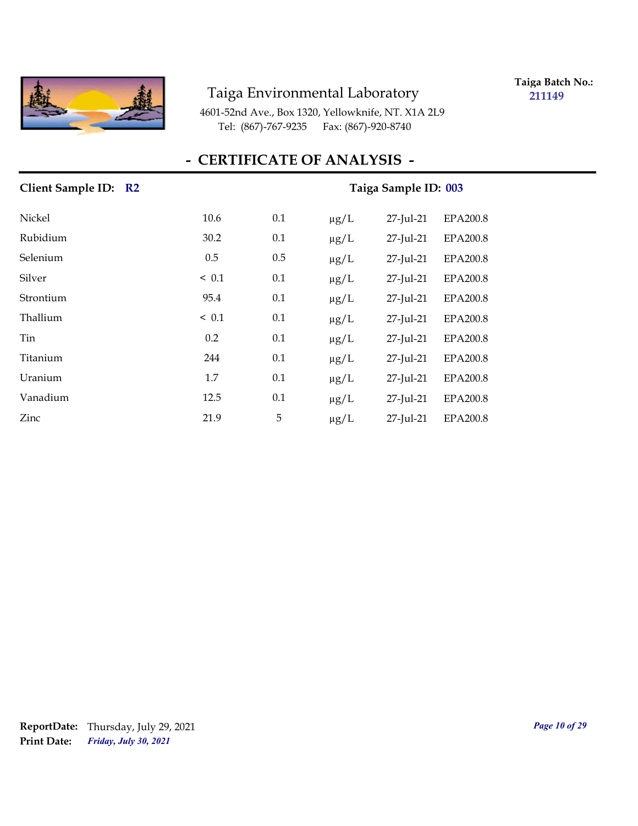

**Taiga Batch No.: 211149**

4601-52nd Ave., Box 1320, Yellowknife, NT. X1A 2L9 Tel: (867)-767-9235 Fax: (867)-920-8740

| Client Sample ID: R2 | Taiga Sample ID: 003 |     |                                           |  |
|----------------------|----------------------|-----|-------------------------------------------|--|
| Nickel               | 10.6                 | 0.1 | 27-Jul-21<br><b>EPA200.8</b><br>$\mu$ g/L |  |
| Rubidium             | 30.2                 | 0.1 | 27-Jul-21<br><b>EPA200.8</b><br>$\mu g/L$ |  |
| Selenium             | 0.5                  | 0.5 | EPA200.8<br>27-Jul-21<br>$\mu$ g/L        |  |
| Silver               | ~< 0.1               | 0.1 | EPA200.8<br>27-Jul-21<br>$\mu$ g/L        |  |
| Strontium            | 95.4                 | 0.1 | EPA200.8<br>$\mu g/L$<br>27-Jul-21        |  |
| Thallium             | $\leq 0.1$           | 0.1 | 27-Jul-21<br><b>EPA200.8</b><br>$\mu g/L$ |  |
| Tin                  | 0.2                  | 0.1 | EPA200.8<br>$\mu g/L$<br>27-Jul-21        |  |
| Titanium             | 244                  | 0.1 | 27-Jul-21<br><b>EPA200.8</b><br>$\mu g/L$ |  |
| Uranium              | 1.7                  | 0.1 | $\mu$ g/L<br>27-Jul-21<br>EPA200.8        |  |
| Vanadium             | 12.5                 | 0.1 | $\mu$ g/L<br>27-Jul-21<br>EPA200.8        |  |
| Zinc                 | 21.9                 | 5   | $27$ -Jul- $21$<br>EPA200.8<br>$\mu$ g/L  |  |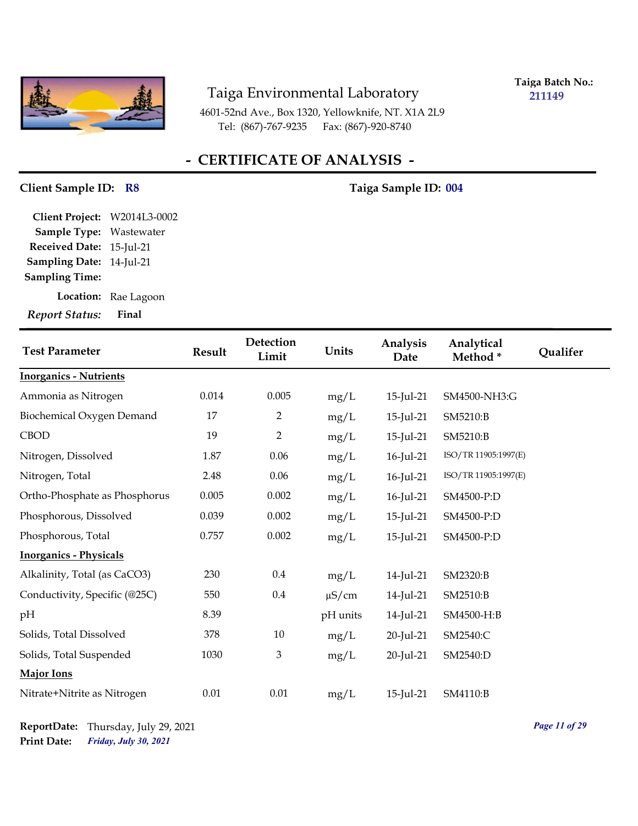

**Taiga Batch No.: 211149**

4601-52nd Ave., Box 1320, Yellowknife, NT. X1A 2L9 Tel: (867)-767-9235 Fax: (867)-920-8740

## **- CERTIFICATE OF ANALYSIS -**

#### Client Sample ID: R8 Taiga Sample ID: 004

**Sampling Date:** 14-Jul-21 **Received Date:** 15-Jul-21 **Client Project:** W2014L3-0002 **Sample Type:** Wastewater **Sampling Time:**

**Location:** Rae Lagoon

| <b>Test Parameter</b>         | <b>Result</b> | Detection<br>Limit | Units      | Analysis<br>Date | Analytical<br>Method* | Qualifer |
|-------------------------------|---------------|--------------------|------------|------------------|-----------------------|----------|
| <b>Inorganics - Nutrients</b> |               |                    |            |                  |                       |          |
| Ammonia as Nitrogen           | 0.014         | 0.005              | mg/L       | 15-Jul-21        | SM4500-NH3:G          |          |
| Biochemical Oxygen Demand     | 17            | $\overline{2}$     | mg/L       | 15-Jul-21        | SM5210:B              |          |
| <b>CBOD</b>                   | 19            | $\overline{2}$     | mg/L       | 15-Jul-21        | SM5210:B              |          |
| Nitrogen, Dissolved           | 1.87          | 0.06               | mg/L       | 16-Jul-21        | ISO/TR 11905:1997(E)  |          |
| Nitrogen, Total               | 2.48          | 0.06               | mg/L       | 16-Jul-21        | ISO/TR 11905:1997(E)  |          |
| Ortho-Phosphate as Phosphorus | 0.005         | 0.002              | mg/L       | 16-Jul-21        | SM4500-P:D            |          |
| Phosphorous, Dissolved        | 0.039         | 0.002              | mg/L       | 15-Jul-21        | SM4500-P:D            |          |
| Phosphorous, Total            | 0.757         | 0.002              | mg/L       | 15-Jul-21        | SM4500-P:D            |          |
| <b>Inorganics - Physicals</b> |               |                    |            |                  |                       |          |
| Alkalinity, Total (as CaCO3)  | 230           | $0.4\,$            | mg/L       | 14-Jul-21        | SM2320:B              |          |
| Conductivity, Specific (@25C) | 550           | $0.4\,$            | $\mu$ S/cm | 14-Jul-21        | SM2510:B              |          |
| pH                            | 8.39          |                    | pH units   | 14-Jul-21        | SM4500-H:B            |          |
| Solids, Total Dissolved       | 378           | 10                 | mg/L       | 20-Jul-21        | SM2540:C              |          |
| Solids, Total Suspended       | 1030          | 3                  | mg/L       | 20-Jul-21        | SM2540:D              |          |
| Major Ions                    |               |                    |            |                  |                       |          |
| Nitrate+Nitrite as Nitrogen   | 0.01          | $0.01\,$           | mg/L       | 15-Jul-21        | SM4110:B              |          |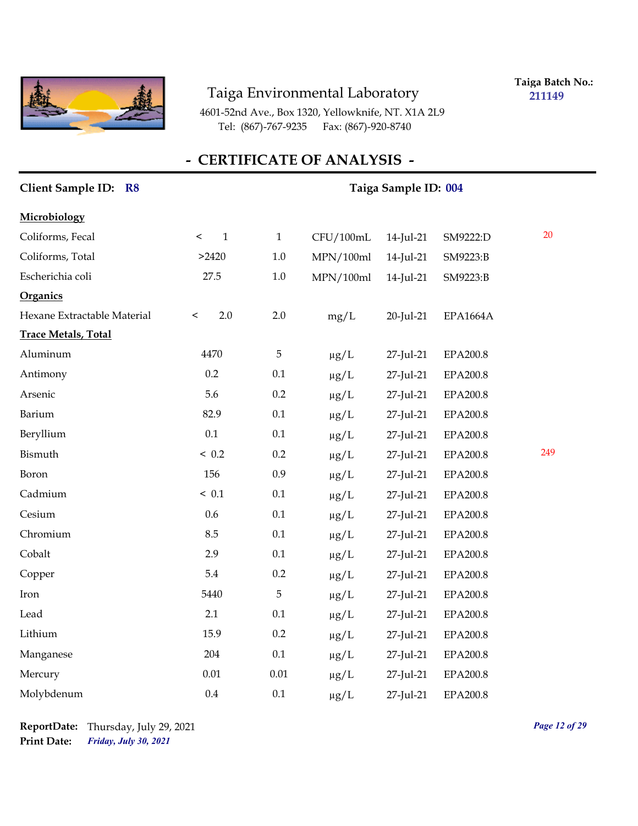

**Taiga Batch No.: 211149**

4601-52nd Ave., Box 1320, Yellowknife, NT. X1A 2L9 Tel: (867)-767-9235 Fax: (867)-920-8740

| Client Sample ID: R8        |                         | Taiga Sample ID: 004 |           |              |                 |     |  |
|-----------------------------|-------------------------|----------------------|-----------|--------------|-----------------|-----|--|
| Microbiology                |                         |                      |           |              |                 |     |  |
| Coliforms, Fecal            | $\mathbf{1}$<br>$\,<\,$ | $\mathbf{1}$         | CFU/100mL | 14-Jul-21    | SM9222:D        | 20  |  |
| Coliforms, Total            | >2420                   | $1.0\,$              | MPN/100ml | $14$ -Jul-21 | SM9223:B        |     |  |
| Escherichia coli            | 27.5                    | $1.0\,$              | MPN/100ml | 14-Jul-21    | SM9223:B        |     |  |
| Organics                    |                         |                      |           |              |                 |     |  |
| Hexane Extractable Material | 2.0<br>$\,<$            | 2.0                  | mg/L      | 20-Jul-21    | <b>EPA1664A</b> |     |  |
| <b>Trace Metals, Total</b>  |                         |                      |           |              |                 |     |  |
| Aluminum                    | 4470                    | $\mathbf 5$          | $\mu g/L$ | 27-Jul-21    | EPA200.8        |     |  |
| Antimony                    | 0.2                     | 0.1                  | $\mu g/L$ | 27-Jul-21    | <b>EPA200.8</b> |     |  |
| Arsenic                     | 5.6                     | 0.2                  | $\mu g/L$ | 27-Jul-21    | EPA200.8        |     |  |
| Barium                      | 82.9                    | 0.1                  | $\mu g/L$ | 27-Jul-21    | EPA200.8        |     |  |
| Beryllium                   | 0.1                     | 0.1                  | $\mu g/L$ | 27-Jul-21    | EPA200.8        |     |  |
| Bismuth                     | ~< 0.2                  | 0.2                  | $\mu g/L$ | 27-Jul-21    | <b>EPA200.8</b> | 249 |  |
| Boron                       | 156                     | 0.9                  | $\mu g/L$ | 27-Jul-21    | <b>EPA200.8</b> |     |  |
| Cadmium                     | ~< 0.1                  | 0.1                  | $\mu g/L$ | 27-Jul-21    | <b>EPA200.8</b> |     |  |
| Cesium                      | 0.6                     | 0.1                  | $\mu g/L$ | 27-Jul-21    | EPA200.8        |     |  |
| Chromium                    | 8.5                     | 0.1                  | $\mu g/L$ | 27-Jul-21    | EPA200.8        |     |  |
| Cobalt                      | 2.9                     | 0.1                  | $\mu g/L$ | 27-Jul-21    | EPA200.8        |     |  |
| Copper                      | 5.4                     | $0.2\,$              | $\mu g/L$ | 27-Jul-21    | EPA200.8        |     |  |
| Iron                        | 5440                    | 5                    | $\mu g/L$ | 27-Jul-21    | <b>EPA200.8</b> |     |  |
| Lead                        | 2.1                     | 0.1                  | $\mu g/L$ | 27-Jul-21    | <b>EPA200.8</b> |     |  |
| Lithium                     | 15.9                    | 0.2                  | $\mu g/L$ | 27-Jul-21    | EPA200.8        |     |  |
| Manganese                   | 204                     | 0.1                  | $\mu g/L$ | 27-Jul-21    | EPA200.8        |     |  |
| Mercury                     | $0.01\,$                | $0.01\,$             | $\mu g/L$ | 27-Jul-21    | EPA200.8        |     |  |
| Molybdenum                  | 0.4                     | 0.1                  | $\mu$ g/L | 27-Jul-21    | EPA200.8        |     |  |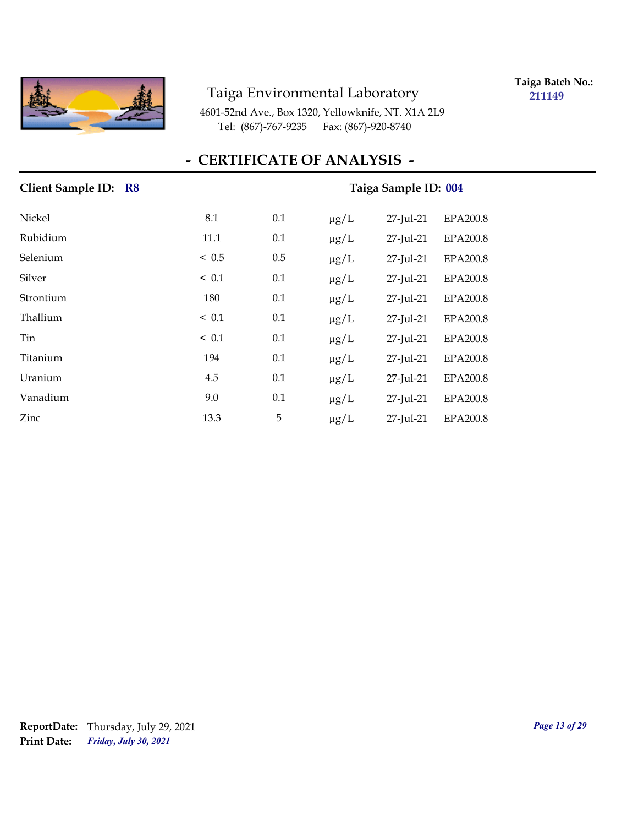

**Taiga Batch No.: 211149**

4601-52nd Ave., Box 1320, Yellowknife, NT. X1A 2L9 Tel: (867)-767-9235 Fax: (867)-920-8740

## **- CERTIFICATE OF ANALYSIS -**

| Client Sample ID: R8 |            | Taiga Sample ID: 004 |           |           |                 |
|----------------------|------------|----------------------|-----------|-----------|-----------------|
| Nickel               | 8.1        | 0.1                  | $\mu$ g/L | 27-Jul-21 | <b>EPA200.8</b> |
| Rubidium             | 11.1       | 0.1                  | $\mu g/L$ | 27-Jul-21 | <b>EPA200.8</b> |
| Selenium             | ~< 0.5     | 0.5                  | $\mu$ g/L | 27-Jul-21 | <b>EPA200.8</b> |
| Silver               | $\leq 0.1$ | 0.1                  | $\mu$ g/L | 27-Jul-21 | EPA200.8        |
| Strontium            | 180        | 0.1                  | $\mu g/L$ | 27-Jul-21 | EPA200.8        |
| Thallium             | $\leq 0.1$ | 0.1                  | $\mu g/L$ | 27-Jul-21 | EPA200.8        |
| Tin                  | $\leq 0.1$ | 0.1                  | $\mu g/L$ | 27-Jul-21 | EPA200.8        |
| Titanium             | 194        | 0.1                  | $\mu g/L$ | 27-Jul-21 | EPA200.8        |
| Uranium              | 4.5        | 0.1                  | $\mu g/L$ | 27-Jul-21 | EPA200.8        |
| Vanadium             | 9.0        | 0.1                  | $\mu$ g/L | 27-Jul-21 | EPA200.8        |
| Zinc                 | 13.3       | 5                    | $\mu g/L$ | 27-Jul-21 | EPA200.8        |

## *Friday, July 30, 2021* **Print Date: ReportDate:** Thursday, July 29, 2021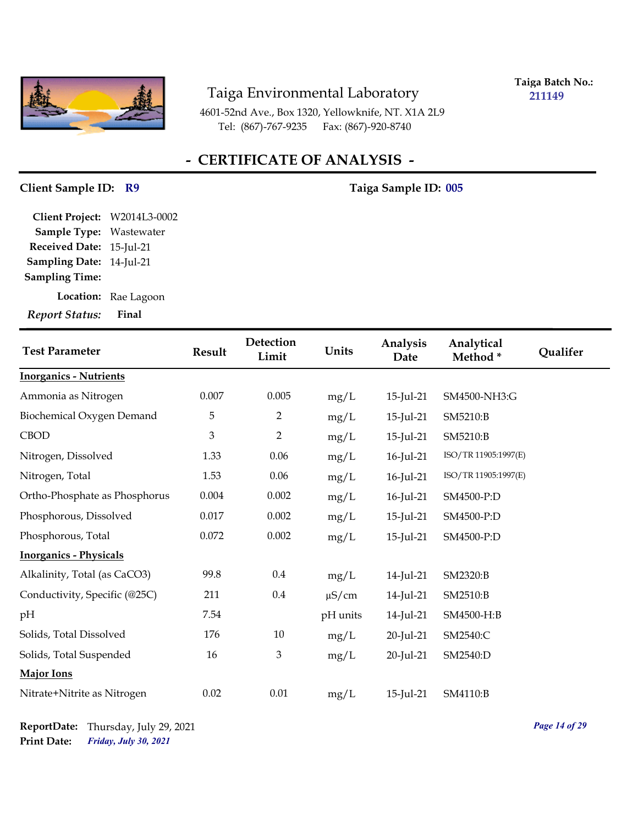

**Taiga Batch No.: 211149**

4601-52nd Ave., Box 1320, Yellowknife, NT. X1A 2L9 Tel: (867)-767-9235 Fax: (867)-920-8740

## **- CERTIFICATE OF ANALYSIS -**

#### Client Sample ID: R9 Taiga Sample ID: 005

**Sampling Date:** 14-Jul-21 **Received Date:** 15-Jul-21 **Client Project:** W2014L3-0002 **Sample Type:** Wastewater **Sampling Time:**

**Location:** Rae Lagoon

| <b>Test Parameter</b>         | <b>Result</b>  | Detection<br>Limit | Units      | Analysis<br>Date | Analytical<br>Method* | Qualifer |
|-------------------------------|----------------|--------------------|------------|------------------|-----------------------|----------|
| <b>Inorganics - Nutrients</b> |                |                    |            |                  |                       |          |
| Ammonia as Nitrogen           | 0.007          | 0.005              | mg/L       | 15-Jul-21        | SM4500-NH3:G          |          |
| Biochemical Oxygen Demand     | 5              | $\overline{2}$     | mg/L       | 15-Jul-21        | SM5210:B              |          |
| <b>CBOD</b>                   | $\mathfrak{Z}$ | $\overline{2}$     | mg/L       | 15-Jul-21        | SM5210:B              |          |
| Nitrogen, Dissolved           | 1.33           | 0.06               | mg/L       | 16-Jul-21        | ISO/TR 11905:1997(E)  |          |
| Nitrogen, Total               | 1.53           | 0.06               | mg/L       | 16-Jul-21        | ISO/TR 11905:1997(E)  |          |
| Ortho-Phosphate as Phosphorus | 0.004          | 0.002              | mg/L       | 16-Jul-21        | SM4500-P:D            |          |
| Phosphorous, Dissolved        | 0.017          | 0.002              | mg/L       | 15-Jul-21        | SM4500-P:D            |          |
| Phosphorous, Total            | 0.072          | 0.002              | mg/L       | 15-Jul-21        | SM4500-P:D            |          |
| <b>Inorganics - Physicals</b> |                |                    |            |                  |                       |          |
| Alkalinity, Total (as CaCO3)  | 99.8           | $0.4\,$            | mg/L       | 14-Jul-21        | SM2320:B              |          |
| Conductivity, Specific (@25C) | 211            | $0.4\,$            | $\mu$ S/cm | 14-Jul-21        | SM2510:B              |          |
| pH                            | 7.54           |                    | pH units   | 14-Jul-21        | SM4500-H:B            |          |
| Solids, Total Dissolved       | 176            | 10                 | mg/L       | $20$ -Jul-21     | SM2540:C              |          |
| Solids, Total Suspended       | 16             | $\mathfrak{Z}$     | mg/L       | 20-Jul-21        | SM2540:D              |          |
| <b>Major Ions</b>             |                |                    |            |                  |                       |          |
| Nitrate+Nitrite as Nitrogen   | 0.02           | 0.01               | mg/L       | 15-Jul-21        | SM4110:B              |          |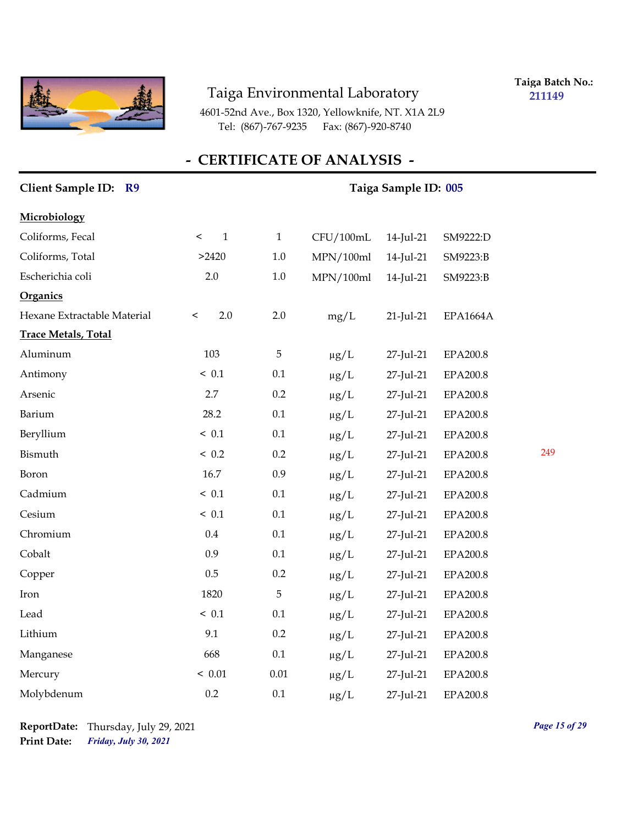

**Taiga Batch No.: 211149**

4601-52nd Ave., Box 1320, Yellowknife, NT. X1A 2L9 Tel: (867)-767-9235 Fax: (867)-920-8740

| Client Sample ID: R9        |                         | Taiga Sample ID: 005 |           |              |                 |     |  |
|-----------------------------|-------------------------|----------------------|-----------|--------------|-----------------|-----|--|
| Microbiology                |                         |                      |           |              |                 |     |  |
| Coliforms, Fecal            | $\mathbf{1}$<br>$\,<\,$ | $\mathbf 1$          | CFU/100mL | 14-Jul-21    | SM9222:D        |     |  |
| Coliforms, Total            | >2420                   | $1.0\,$              | MPN/100ml | 14-Jul-21    | SM9223:B        |     |  |
| Escherichia coli            | 2.0                     | $1.0\,$              | MPN/100ml | 14-Jul-21    | SM9223:B        |     |  |
| Organics                    |                         |                      |           |              |                 |     |  |
| Hexane Extractable Material | 2.0<br>$\,<\,$          | 2.0                  | mg/L      | $21$ -Jul-21 | <b>EPA1664A</b> |     |  |
| <b>Trace Metals, Total</b>  |                         |                      |           |              |                 |     |  |
| Aluminum                    | 103                     | $\overline{5}$       | $\mu g/L$ | 27-Jul-21    | EPA200.8        |     |  |
| Antimony                    | ~< 0.1                  | 0.1                  | $\mu g/L$ | 27-Jul-21    | EPA200.8        |     |  |
| Arsenic                     | 2.7                     | 0.2                  | $\mu g/L$ | 27-Jul-21    | EPA200.8        |     |  |
| Barium                      | 28.2                    | 0.1                  | $\mu g/L$ | 27-Jul-21    | EPA200.8        |     |  |
| Beryllium                   | ~< 0.1                  | 0.1                  | $\mu g/L$ | 27-Jul-21    | EPA200.8        |     |  |
| Bismuth                     | ~< 0.2                  | 0.2                  | $\mu$ g/L | 27-Jul-21    | EPA200.8        | 249 |  |
| Boron                       | 16.7                    | 0.9                  | $\mu g/L$ | 27-Jul-21    | EPA200.8        |     |  |
| Cadmium                     | ~< 0.1                  | 0.1                  | $\mu g/L$ | 27-Jul-21    | EPA200.8        |     |  |
| Cesium                      | ~< 0.1                  | $0.1\,$              | $\mu g/L$ | 27-Jul-21    | EPA200.8        |     |  |
| Chromium                    | $0.4\,$                 | $0.1\,$              | $\mu g/L$ | 27-Jul-21    | EPA200.8        |     |  |
| Cobalt                      | 0.9                     | 0.1                  | $\mu g/L$ | 27-Jul-21    | EPA200.8        |     |  |
| Copper                      | 0.5                     | 0.2                  | $\mu g/L$ | 27-Jul-21    | EPA200.8        |     |  |
| Iron                        | 1820                    | 5                    | $\mu g/L$ | 27-Jul-21    | EPA200.8        |     |  |
| Lead                        | ~< 0.1                  | 0.1                  | $\mu g/L$ | 27-Jul-21    | EPA200.8        |     |  |
| Lithium                     | 9.1                     | 0.2                  | $\mu g/L$ | 27-Jul-21    | EPA200.8        |     |  |
| Manganese                   | 668                     | 0.1                  | $\mu g/L$ | 27-Jul-21    | EPA200.8        |     |  |
| Mercury                     | < 0.01                  | 0.01                 | $\mu$ g/L | 27-Jul-21    | EPA200.8        |     |  |
| Molybdenum                  | 0.2                     | 0.1                  | $\mu g/L$ | 27-Jul-21    | EPA200.8        |     |  |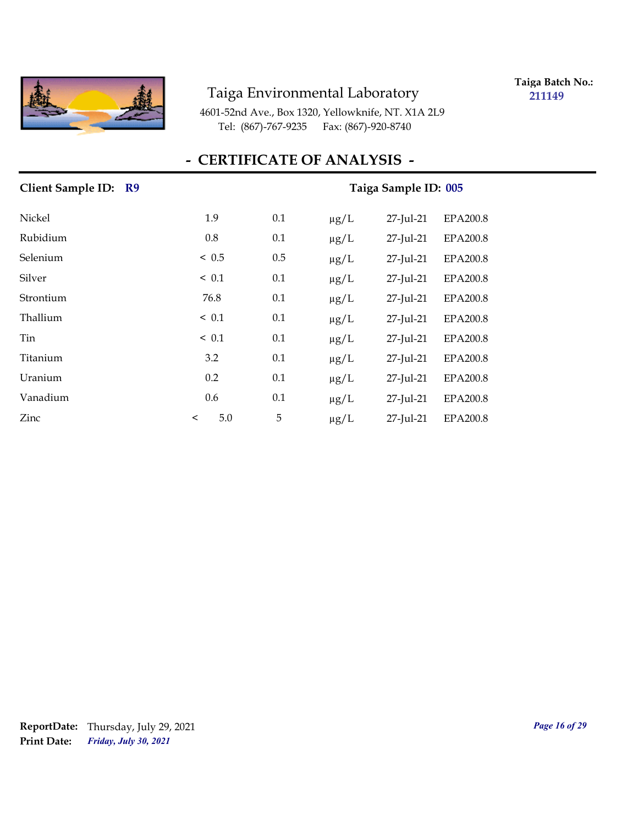

**Taiga Batch No.: 211149**

4601-52nd Ave., Box 1320, Yellowknife, NT. X1A 2L9 Tel: (867)-767-9235 Fax: (867)-920-8740

## **- CERTIFICATE OF ANALYSIS -**

| Client Sample ID: R9 |                | Taiga Sample ID: 005 |           |           |                 |
|----------------------|----------------|----------------------|-----------|-----------|-----------------|
| Nickel               | 1.9            | 0.1                  | $\mu$ g/L | 27-Jul-21 | EPA200.8        |
| Rubidium             | 0.8            | 0.1                  | $\mu g/L$ | 27-Jul-21 | <b>EPA200.8</b> |
| Selenium             | < 0.5          | 0.5                  | $\mu g/L$ | 27-Jul-21 | <b>EPA200.8</b> |
| Silver               | $\leq 0.1$     | 0.1                  | $\mu g/L$ | 27-Jul-21 | EPA200.8        |
| Strontium            | 76.8           | 0.1                  | $\mu g/L$ | 27-Jul-21 | EPA200.8        |
| Thallium             | $\leq 0.1$     | 0.1                  | $\mu g/L$ | 27-Jul-21 | EPA200.8        |
| Tin                  | ~< 0.1         | 0.1                  | $\mu g/L$ | 27-Jul-21 | EPA200.8        |
| Titanium             | 3.2            | 0.1                  | $\mu g/L$ | 27-Jul-21 | EPA200.8        |
| Uranium              | 0.2            | 0.1                  | $\mu$ g/L | 27-Jul-21 | EPA200.8        |
| Vanadium             | 0.6            | 0.1                  | $\mu g/L$ | 27-Jul-21 | <b>EPA200.8</b> |
| Zinc                 | 5.0<br>$\,<\,$ | 5                    | $\mu g/L$ | 27-Jul-21 | EPA200.8        |

## *Friday, July 30, 2021* **Print Date: ReportDate:** Thursday, July 29, 2021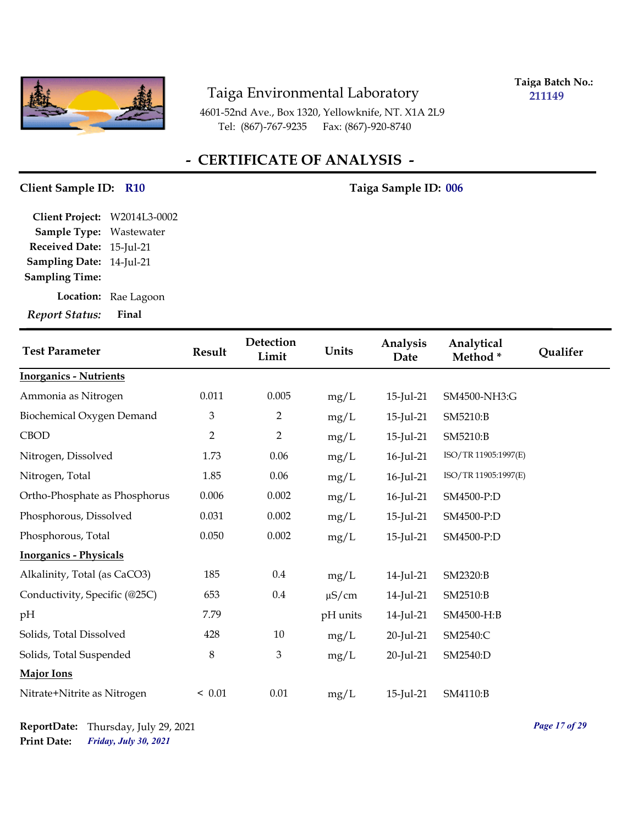

**Taiga Batch No.: 211149**

4601-52nd Ave., Box 1320, Yellowknife, NT. X1A 2L9 Tel: (867)-767-9235 Fax: (867)-920-8740

## **- CERTIFICATE OF ANALYSIS -**

#### **Client Sample ID:** R10 **1989** Taiga Sample ID: 006

**Sampling Date:** 14-Jul-21 **Received Date:** 15-Jul-21 **Client Project:** W2014L3-0002 **Sample Type:** Wastewater **Sampling Time:**

**Location:** Rae Lagoon

| <b>Test Parameter</b>         | <b>Result</b>  | Detection<br>Limit | Units      | Analysis<br>Date | Analytical<br>Method* | Qualifer |
|-------------------------------|----------------|--------------------|------------|------------------|-----------------------|----------|
| <b>Inorganics - Nutrients</b> |                |                    |            |                  |                       |          |
| Ammonia as Nitrogen           | 0.011          | 0.005              | mg/L       | 15-Jul-21        | SM4500-NH3:G          |          |
| Biochemical Oxygen Demand     | 3              | $\overline{2}$     | mg/L       | 15-Jul-21        | SM5210:B              |          |
| <b>CBOD</b>                   | $\overline{2}$ | $\overline{2}$     | mg/L       | 15-Jul-21        | SM5210:B              |          |
| Nitrogen, Dissolved           | 1.73           | 0.06               | mg/L       | 16-Jul-21        | ISO/TR 11905:1997(E)  |          |
| Nitrogen, Total               | 1.85           | 0.06               | mg/L       | 16-Jul-21        | ISO/TR 11905:1997(E)  |          |
| Ortho-Phosphate as Phosphorus | 0.006          | 0.002              | mg/L       | $16$ -Jul-21     | SM4500-P:D            |          |
| Phosphorous, Dissolved        | 0.031          | 0.002              | mg/L       | 15-Jul-21        | SM4500-P:D            |          |
| Phosphorous, Total            | 0.050          | 0.002              | mg/L       | 15-Jul-21        | SM4500-P:D            |          |
| <b>Inorganics - Physicals</b> |                |                    |            |                  |                       |          |
| Alkalinity, Total (as CaCO3)  | 185            | 0.4                | mg/L       | 14-Jul-21        | SM2320:B              |          |
| Conductivity, Specific (@25C) | 653            | 0.4                | $\mu$ S/cm | 14-Jul-21        | SM2510:B              |          |
| pH                            | 7.79           |                    | pH units   | 14-Jul-21        | SM4500-H:B            |          |
| Solids, Total Dissolved       | 428            | 10                 | mg/L       | 20-Jul-21        | SM2540:C              |          |
| Solids, Total Suspended       | $\,8\,$        | $\mathfrak{Z}$     | mg/L       | 20-Jul-21        | SM2540:D              |          |
| Major Ions                    |                |                    |            |                  |                       |          |
| Nitrate+Nitrite as Nitrogen   | < 0.01         | $0.01\,$           | mg/L       | 15-Jul-21        | SM4110:B              |          |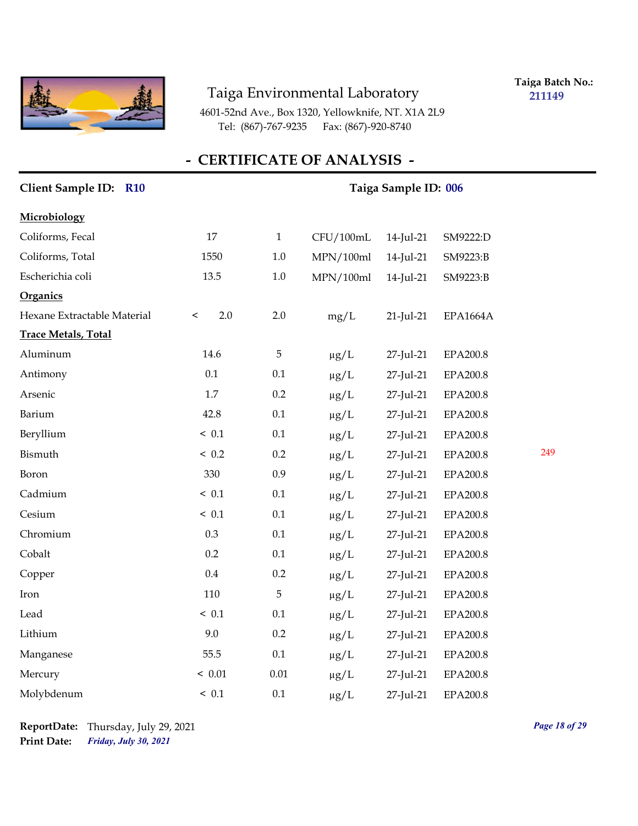

**Taiga Batch No.: 211149**

4601-52nd Ave., Box 1320, Yellowknife, NT. X1A 2L9 Tel: (867)-767-9235 Fax: (867)-920-8740

| Client Sample ID: R10       |                | Taiga Sample ID: 006 |           |              |                 |     |
|-----------------------------|----------------|----------------------|-----------|--------------|-----------------|-----|
| Microbiology                |                |                      |           |              |                 |     |
| Coliforms, Fecal            | 17             | $\mathbf 1$          | CFU/100mL | 14-Jul-21    | SM9222:D        |     |
| Coliforms, Total            | 1550           | $1.0\,$              | MPN/100ml | 14-Jul-21    | SM9223:B        |     |
| Escherichia coli            | 13.5           | $1.0\,$              | MPN/100ml | 14-Jul-21    | SM9223:B        |     |
| Organics                    |                |                      |           |              |                 |     |
| Hexane Extractable Material | 2.0<br>$\,<\,$ | 2.0                  | mg/L      | $21$ -Jul-21 | <b>EPA1664A</b> |     |
| <b>Trace Metals, Total</b>  |                |                      |           |              |                 |     |
| Aluminum                    | 14.6           | 5                    | $\mu$ g/L | 27-Jul-21    | EPA200.8        |     |
| Antimony                    | 0.1            | 0.1                  | $\mu g/L$ | 27-Jul-21    | EPA200.8        |     |
| Arsenic                     | 1.7            | 0.2                  | $\mu g/L$ | 27-Jul-21    | EPA200.8        |     |
| Barium                      | 42.8           | 0.1                  | $\mu g/L$ | 27-Jul-21    | EPA200.8        |     |
| Beryllium                   | ~< 0.1         | 0.1                  | $\mu g/L$ | 27-Jul-21    | <b>EPA200.8</b> |     |
| Bismuth                     | ~< 0.2         | 0.2                  | $\mu g/L$ | 27-Jul-21    | EPA200.8        | 249 |
| Boron                       | 330            | 0.9                  | $\mu g/L$ | 27-Jul-21    | EPA200.8        |     |
| Cadmium                     | ~< 0.1         | 0.1                  | $\mu g/L$ | 27-Jul-21    | EPA200.8        |     |
| Cesium                      | ~< 0.1         | 0.1                  | $\mu g/L$ | 27-Jul-21    | EPA200.8        |     |
| Chromium                    | 0.3            | 0.1                  | $\mu g/L$ | 27-Jul-21    | EPA200.8        |     |
| Cobalt                      | 0.2            | 0.1                  | $\mu g/L$ | 27-Jul-21    | EPA200.8        |     |
| Copper                      | 0.4            | 0.2                  | $\mu g/L$ | 27-Jul-21    | EPA200.8        |     |
| Iron                        | 110            | 5                    | $\mu g/L$ | 27-Jul-21    | EPA200.8        |     |
| Lead                        | ~< 0.1         | 0.1                  | $\mu g/L$ | 27-Jul-21    | EPA200.8        |     |
| Lithium                     | 9.0            | 0.2                  | $\mu g/L$ | 27-Jul-21    | EPA200.8        |     |
| Manganese                   | 55.5           | 0.1                  | $\mu g/L$ | 27-Jul-21    | EPA200.8        |     |
| Mercury                     | < 0.01         | $0.01\,$             | $\mu g/L$ | 27-Jul-21    | EPA200.8        |     |
| Molybdenum                  | ~< 0.1         | 0.1                  | $\mu$ g/L | 27-Jul-21    | EPA200.8        |     |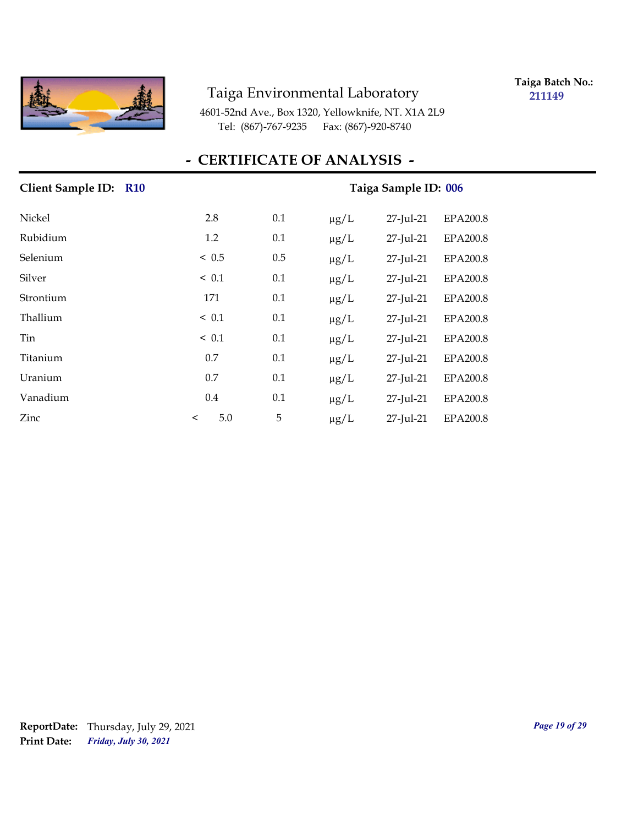

**Taiga Batch No.: 211149**

4601-52nd Ave., Box 1320, Yellowknife, NT. X1A 2L9 Tel: (867)-767-9235 Fax: (867)-920-8740

| Client Sample ID: R10 | Taiga Sample ID: 006 |     |           |           |                 |  |  |
|-----------------------|----------------------|-----|-----------|-----------|-----------------|--|--|
| Nickel                | 2.8                  | 0.1 | $\mu$ g/L | 27-Jul-21 | <b>EPA200.8</b> |  |  |
| Rubidium              | 1.2                  | 0.1 | $\mu g/L$ | 27-Jul-21 | <b>EPA200.8</b> |  |  |
| Selenium              | < 0.5                | 0.5 | $\mu g/L$ | 27-Jul-21 | EPA200.8        |  |  |
| Silver                | $\leq 0.1$           | 0.1 | $\mu g/L$ | 27-Jul-21 | EPA200.8        |  |  |
| Strontium             | 171                  | 0.1 | $\mu g/L$ | 27-Jul-21 | EPA200.8        |  |  |
| Thallium              | $\leq 0.1$           | 0.1 | $\mu g/L$ | 27-Jul-21 | EPA200.8        |  |  |
| Tin                   | $\leq 0.1$           | 0.1 | $\mu g/L$ | 27-Jul-21 | EPA200.8        |  |  |
| Titanium              | 0.7                  | 0.1 | $\mu g/L$ | 27-Jul-21 | EPA200.8        |  |  |
| Uranium               | 0.7                  | 0.1 | $\mu g/L$ | 27-Jul-21 | EPA200.8        |  |  |
| Vanadium              | 0.4                  | 0.1 | $\mu g/L$ | 27-Jul-21 | <b>EPA200.8</b> |  |  |
| Zinc                  | 5.0<br>$\,<\,$       | 5   | $\mu g/L$ | 27-Jul-21 | EPA200.8        |  |  |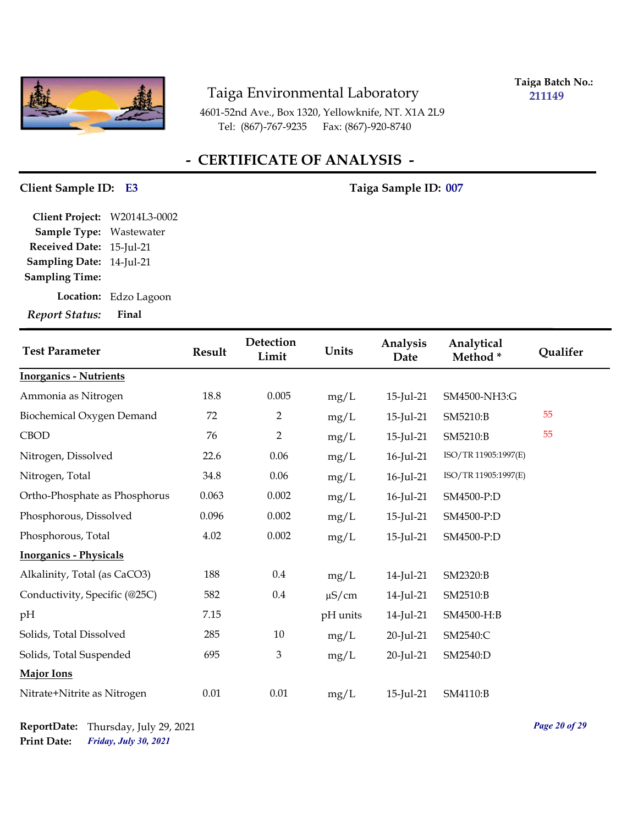

**Taiga Batch No.: 211149**

4601-52nd Ave., Box 1320, Yellowknife, NT. X1A 2L9 Tel: (867)-767-9235 Fax: (867)-920-8740

## **- CERTIFICATE OF ANALYSIS -**

## **Client Sample ID: Taiga Sample ID: E3 007**

**Sampling Date:** 14-Jul-21 **Received Date:** 15-Jul-21 **Client Project:** W2014L3-0002 **Sample Type:** Wastewater **Sampling Time:**

**Location:** Edzo Lagoon

| <b>Test Parameter</b>         | <b>Result</b> | <b>Detection</b><br>Limit | Units      | Analysis<br>Date | Analytical<br>Method* | Qualifer |
|-------------------------------|---------------|---------------------------|------------|------------------|-----------------------|----------|
| <b>Inorganics - Nutrients</b> |               |                           |            |                  |                       |          |
| Ammonia as Nitrogen           | 18.8          | 0.005                     | mg/L       | 15-Jul-21        | SM4500-NH3:G          |          |
| Biochemical Oxygen Demand     | 72            | $\overline{2}$            | mg/L       | 15-Jul-21        | SM5210:B              | 55       |
| <b>CBOD</b>                   | 76            | $\overline{2}$            | mg/L       | 15-Jul-21        | SM5210:B              | 55       |
| Nitrogen, Dissolved           | 22.6          | 0.06                      | mg/L       | 16-Jul-21        | ISO/TR 11905:1997(E)  |          |
| Nitrogen, Total               | 34.8          | 0.06                      | mg/L       | 16-Jul-21        | ISO/TR 11905:1997(E)  |          |
| Ortho-Phosphate as Phosphorus | 0.063         | 0.002                     | mg/L       | 16-Jul-21        | SM4500-P:D            |          |
| Phosphorous, Dissolved        | 0.096         | 0.002                     | mg/L       | 15-Jul-21        | SM4500-P:D            |          |
| Phosphorous, Total            | 4.02          | 0.002                     | mg/L       | 15-Jul-21        | SM4500-P:D            |          |
| <b>Inorganics - Physicals</b> |               |                           |            |                  |                       |          |
| Alkalinity, Total (as CaCO3)  | 188           | $0.4\,$                   | mg/L       | 14-Jul-21        | SM2320:B              |          |
| Conductivity, Specific (@25C) | 582           | 0.4                       | $\mu$ S/cm | 14-Jul-21        | SM2510:B              |          |
| pH                            | 7.15          |                           | pH units   | 14-Jul-21        | SM4500-H:B            |          |
| Solids, Total Dissolved       | 285           | 10                        | mg/L       | 20-Jul-21        | SM2540:C              |          |
| Solids, Total Suspended       | 695           | $\mathfrak{Z}$            | mg/L       | 20-Jul-21        | SM2540:D              |          |
| Major Ions                    |               |                           |            |                  |                       |          |
| Nitrate+Nitrite as Nitrogen   | 0.01          | $0.01\,$                  | mg/L       | 15-Jul-21        | SM4110:B              |          |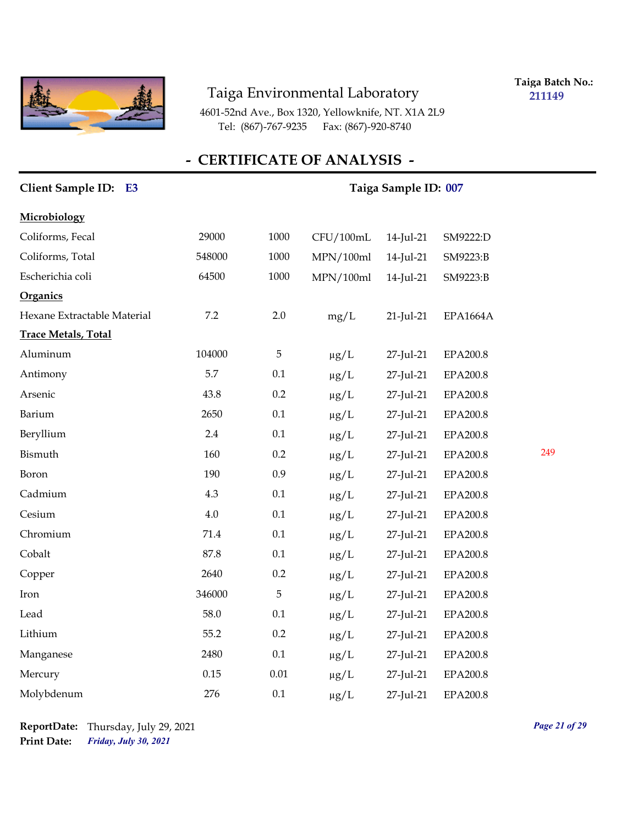

**Taiga Batch No.: 211149**

4601-52nd Ave., Box 1320, Yellowknife, NT. X1A 2L9 Tel: (867)-767-9235 Fax: (867)-920-8740

| Client Sample ID: E3        | Taiga Sample ID: 007 |          |           |           |                 |     |
|-----------------------------|----------------------|----------|-----------|-----------|-----------------|-----|
| Microbiology                |                      |          |           |           |                 |     |
| Coliforms, Fecal            | 29000                | 1000     | CFU/100mL | 14-Jul-21 | SM9222:D        |     |
| Coliforms, Total            | 548000               | 1000     | MPN/100ml | 14-Jul-21 | SM9223:B        |     |
| Escherichia coli            | 64500                | 1000     | MPN/100ml | 14-Jul-21 | SM9223:B        |     |
| <b>Organics</b>             |                      |          |           |           |                 |     |
| Hexane Extractable Material | 7.2                  | 2.0      | mg/L      | 21-Jul-21 | <b>EPA1664A</b> |     |
| <b>Trace Metals, Total</b>  |                      |          |           |           |                 |     |
| Aluminum                    | 104000               | 5        | $\mu g/L$ | 27-Jul-21 | <b>EPA200.8</b> |     |
| Antimony                    | 5.7                  | 0.1      | $\mu g/L$ | 27-Jul-21 | EPA200.8        |     |
| Arsenic                     | 43.8                 | 0.2      | $\mu g/L$ | 27-Jul-21 | EPA200.8        |     |
| Barium                      | 2650                 | 0.1      | $\mu g/L$ | 27-Jul-21 | EPA200.8        |     |
| Beryllium                   | 2.4                  | $0.1\,$  | $\mu g/L$ | 27-Jul-21 | EPA200.8        |     |
| Bismuth                     | 160                  | 0.2      | $\mu g/L$ | 27-Jul-21 | EPA200.8        | 249 |
| Boron                       | 190                  | 0.9      | $\mu g/L$ | 27-Jul-21 | EPA200.8        |     |
| Cadmium                     | 4.3                  | 0.1      | $\mu g/L$ | 27-Jul-21 | <b>EPA200.8</b> |     |
| Cesium                      | $4.0\,$              | 0.1      | $\mu g/L$ | 27-Jul-21 | EPA200.8        |     |
| Chromium                    | 71.4                 | 0.1      | $\mu g/L$ | 27-Jul-21 | EPA200.8        |     |
| Cobalt                      | 87.8                 | 0.1      | $\mu g/L$ | 27-Jul-21 | EPA200.8        |     |
| Copper                      | 2640                 | 0.2      | $\mu g/L$ | 27-Jul-21 | EPA200.8        |     |
| Iron                        | 346000               | 5        | $\mu g/L$ | 27-Jul-21 | EPA200.8        |     |
| Lead                        | 58.0                 | 0.1      | $\mu g/L$ | 27-Jul-21 | EPA200.8        |     |
| Lithium                     | 55.2                 | 0.2      | $\mu$ g/L | 27-Jul-21 | EPA200.8        |     |
| Manganese                   | 2480                 | 0.1      | $\mu g/L$ | 27-Jul-21 | <b>EPA200.8</b> |     |
| Mercury                     | 0.15                 | $0.01\,$ | $\mu g/L$ | 27-Jul-21 | EPA200.8        |     |
| Molybdenum                  | 276                  | 0.1      | $\mu$ g/L | 27-Jul-21 | EPA200.8        |     |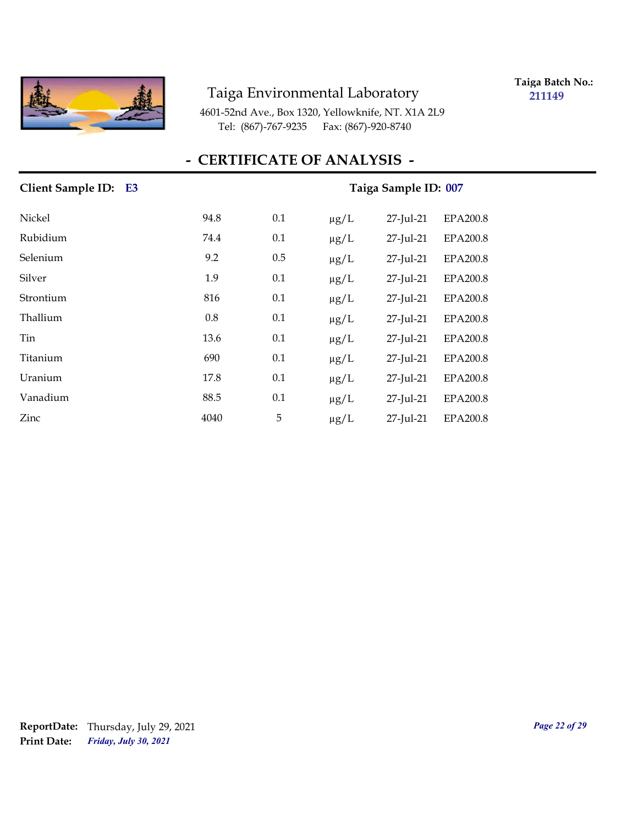

**Taiga Batch No.: 211149**

4601-52nd Ave., Box 1320, Yellowknife, NT. X1A 2L9 Tel: (867)-767-9235 Fax: (867)-920-8740

| Client Sample ID: E3 |      |     | Taiga Sample ID: 007 |           |                 |  |
|----------------------|------|-----|----------------------|-----------|-----------------|--|
| Nickel               | 94.8 | 0.1 | $\mu$ g/L            | 27-Jul-21 | <b>EPA200.8</b> |  |
| Rubidium             | 74.4 | 0.1 | $\mu g/L$            | 27-Jul-21 | EPA200.8        |  |
| Selenium             | 9.2  | 0.5 | $\mu$ g/L            | 27-Jul-21 | <b>EPA200.8</b> |  |
| Silver               | 1.9  | 0.1 | $\mu g/L$            | 27-Jul-21 | EPA200.8        |  |
| Strontium            | 816  | 0.1 | $\mu g/L$            | 27-Jul-21 | <b>EPA200.8</b> |  |
| Thallium             | 0.8  | 0.1 | $\mu g/L$            | 27-Jul-21 | EPA200.8        |  |
| Tin                  | 13.6 | 0.1 | $\mu g/L$            | 27-Jul-21 | <b>EPA200.8</b> |  |
| Titanium             | 690  | 0.1 | $\mu g/L$            | 27-Jul-21 | <b>EPA200.8</b> |  |
| Uranium              | 17.8 | 0.1 | $\mu g/L$            | 27-Jul-21 | <b>EPA200.8</b> |  |
| Vanadium             | 88.5 | 0.1 | $\mu$ g/L            | 27-Jul-21 | <b>EPA200.8</b> |  |
| Zinc                 | 4040 | 5   | $\mu g/L$            | 27-Jul-21 | EPA200.8        |  |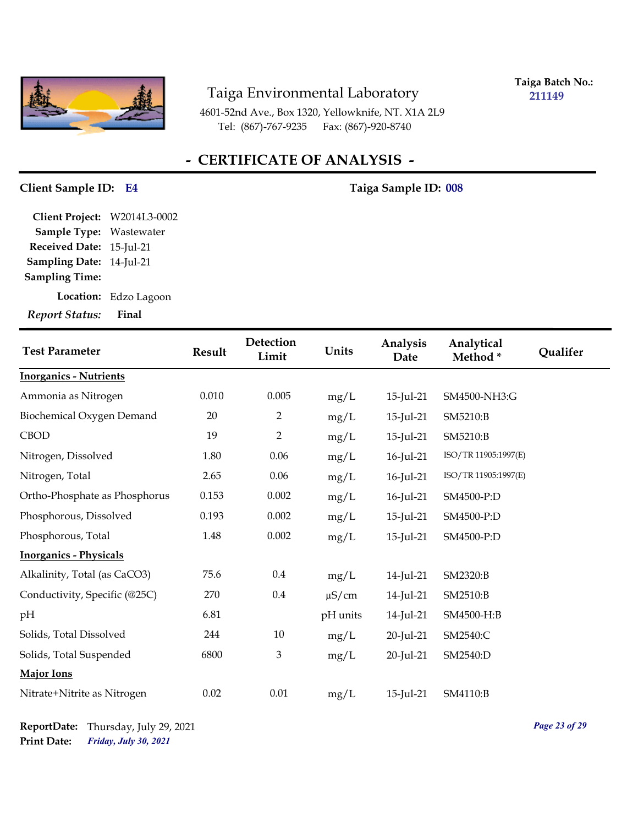

**Taiga Batch No.: 211149**

4601-52nd Ave., Box 1320, Yellowknife, NT. X1A 2L9 Tel: (867)-767-9235 Fax: (867)-920-8740

## **- CERTIFICATE OF ANALYSIS -**

#### **Client Sample ID: Taiga Sample ID: E4 008**

**Sampling Date:** 14-Jul-21 **Received Date:** 15-Jul-21 **Client Project:** W2014L3-0002 **Sample Type:** Wastewater **Sampling Time:**

**Location:** Edzo Lagoon

| <b>Test Parameter</b>         | Result | Detection<br>Limit | Units      | Analysis<br>Date | Analytical<br>Method* | Qualifer |
|-------------------------------|--------|--------------------|------------|------------------|-----------------------|----------|
| <b>Inorganics - Nutrients</b> |        |                    |            |                  |                       |          |
| Ammonia as Nitrogen           | 0.010  | 0.005              | mg/L       | 15-Jul-21        | SM4500-NH3:G          |          |
| Biochemical Oxygen Demand     | 20     | $\overline{2}$     | mg/L       | 15-Jul-21        | SM5210:B              |          |
| CBOD                          | 19     | $\overline{2}$     | mg/L       | 15-Jul-21        | SM5210:B              |          |
| Nitrogen, Dissolved           | 1.80   | 0.06               | mg/L       | 16-Jul-21        | ISO/TR 11905:1997(E)  |          |
| Nitrogen, Total               | 2.65   | 0.06               | mg/L       | 16-Jul-21        | ISO/TR 11905:1997(E)  |          |
| Ortho-Phosphate as Phosphorus | 0.153  | 0.002              | mg/L       | 16-Jul-21        | SM4500-P:D            |          |
| Phosphorous, Dissolved        | 0.193  | 0.002              | mg/L       | 15-Jul-21        | SM4500-P:D            |          |
| Phosphorous, Total            | 1.48   | 0.002              | mg/L       | 15-Jul-21        | SM4500-P:D            |          |
| <b>Inorganics - Physicals</b> |        |                    |            |                  |                       |          |
| Alkalinity, Total (as CaCO3)  | 75.6   | $0.4\,$            | mg/L       | 14-Jul-21        | SM2320:B              |          |
| Conductivity, Specific (@25C) | 270    | $0.4\,$            | $\mu$ S/cm | 14-Jul-21        | SM2510:B              |          |
| pН                            | 6.81   |                    | pH units   | 14-Jul-21        | SM4500-H:B            |          |
| Solids, Total Dissolved       | 244    | 10                 | mg/L       | 20-Jul-21        | SM2540:C              |          |
| Solids, Total Suspended       | 6800   | 3                  | mg/L       | 20-Jul-21        | SM2540:D              |          |
| Major Ions                    |        |                    |            |                  |                       |          |
| Nitrate+Nitrite as Nitrogen   | 0.02   | 0.01               | mg/L       | 15-Jul-21        | SM4110:B              |          |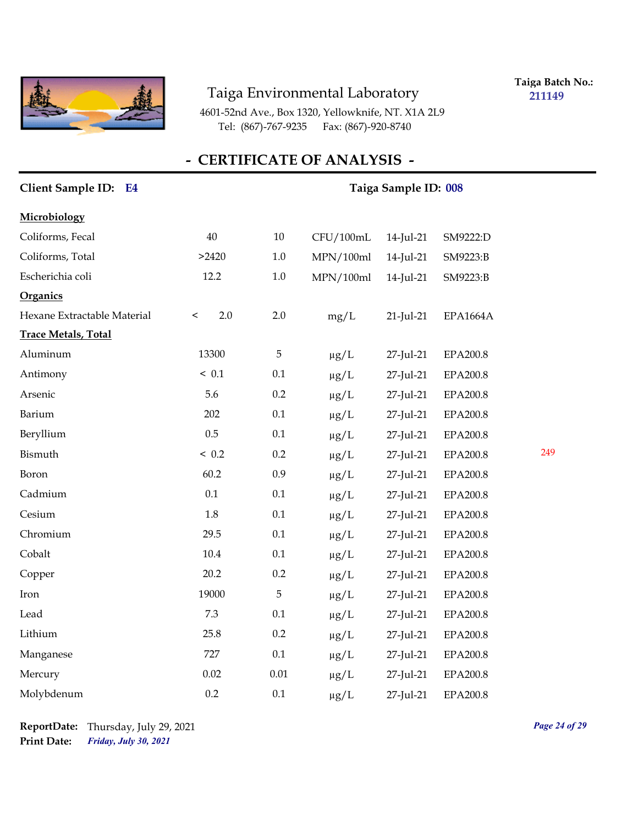

**Taiga Batch No.: 211149**

4601-52nd Ave., Box 1320, Yellowknife, NT. X1A 2L9 Tel: (867)-767-9235 Fax: (867)-920-8740

| Client Sample ID: E4        |                | Taiga Sample ID: 008 |           |           |                 |     |  |
|-----------------------------|----------------|----------------------|-----------|-----------|-----------------|-----|--|
| Microbiology                |                |                      |           |           |                 |     |  |
| Coliforms, Fecal            | 40             | $10\,$               | CFU/100mL | 14-Jul-21 | SM9222:D        |     |  |
| Coliforms, Total            | >2420          | $1.0\,$              | MPN/100ml | 14-Jul-21 | SM9223:B        |     |  |
| Escherichia coli            | 12.2           | $1.0\,$              | MPN/100ml | 14-Jul-21 | SM9223:B        |     |  |
| <b>Organics</b>             |                |                      |           |           |                 |     |  |
| Hexane Extractable Material | 2.0<br>$\,<\,$ | $2.0\,$              | mg/L      | 21-Jul-21 | EPA1664A        |     |  |
| <b>Trace Metals, Total</b>  |                |                      |           |           |                 |     |  |
| Aluminum                    | 13300          | 5                    | $\mu g/L$ | 27-Jul-21 | <b>EPA200.8</b> |     |  |
| Antimony                    | ~< 0.1         | 0.1                  | $\mu g/L$ | 27-Jul-21 | EPA200.8        |     |  |
| Arsenic                     | 5.6            | 0.2                  | $\mu g/L$ | 27-Jul-21 | EPA200.8        |     |  |
| Barium                      | 202            | $0.1\,$              | $\mu g/L$ | 27-Jul-21 | EPA200.8        |     |  |
| Beryllium                   | 0.5            | 0.1                  | $\mu g/L$ | 27-Jul-21 | <b>EPA200.8</b> |     |  |
| Bismuth                     | ~< 0.2         | 0.2                  | $\mu g/L$ | 27-Jul-21 | <b>EPA200.8</b> | 249 |  |
| Boron                       | 60.2           | 0.9                  | $\mu g/L$ | 27-Jul-21 | EPA200.8        |     |  |
| Cadmium                     | 0.1            | 0.1                  | $\mu g/L$ | 27-Jul-21 | EPA200.8        |     |  |
| Cesium                      | $1.8\,$        | 0.1                  | $\mu g/L$ | 27-Jul-21 | EPA200.8        |     |  |
| Chromium                    | 29.5           | 0.1                  | $\mu g/L$ | 27-Jul-21 | EPA200.8        |     |  |
| Cobalt                      | $10.4\,$       | 0.1                  | $\mu g/L$ | 27-Jul-21 | EPA200.8        |     |  |
| Copper                      | 20.2           | $0.2\,$              | $\mu g/L$ | 27-Jul-21 | EPA200.8        |     |  |
| Iron                        | 19000          | 5                    | $\mu g/L$ | 27-Jul-21 | EPA200.8        |     |  |
| Lead                        | 7.3            | 0.1                  | $\mu g/L$ | 27-Jul-21 | EPA200.8        |     |  |
| Lithium                     | 25.8           | 0.2                  | $\mu g/L$ | 27-Jul-21 | <b>EPA200.8</b> |     |  |
| Manganese                   | 727            | 0.1                  | $\mu g/L$ | 27-Jul-21 | EPA200.8        |     |  |
| Mercury                     | 0.02           | $0.01\,$             | $\mu$ g/L | 27-Jul-21 | EPA200.8        |     |  |
| Molybdenum                  | 0.2            | 0.1                  | $\mu$ g/L | 27-Jul-21 | EPA200.8        |     |  |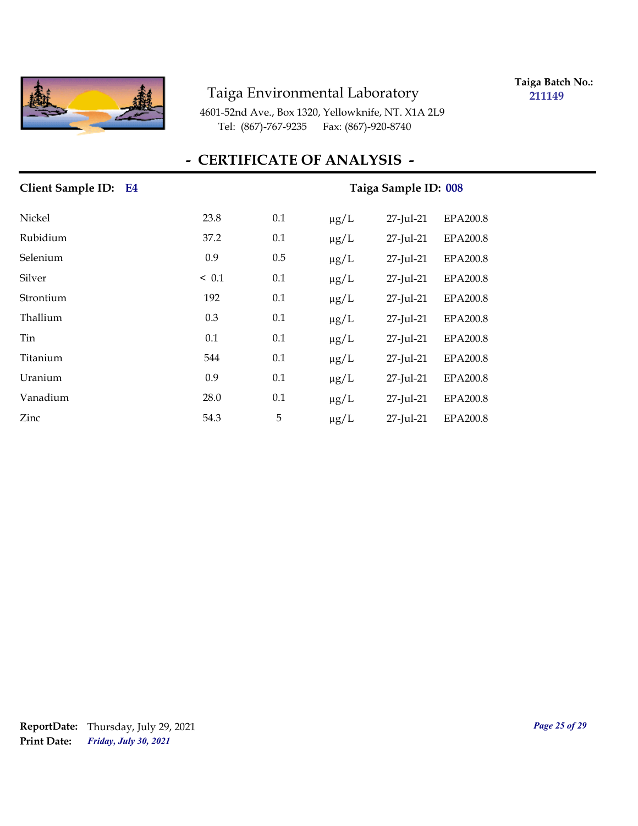

**Taiga Batch No.: 211149**

4601-52nd Ave., Box 1320, Yellowknife, NT. X1A 2L9 Tel: (867)-767-9235 Fax: (867)-920-8740

| Client Sample ID: E4 |            |     |           | Taiga Sample ID: 008 |                 |  |  |
|----------------------|------------|-----|-----------|----------------------|-----------------|--|--|
| Nickel               | 23.8       | 0.1 | $\mu$ g/L | 27-Jul-21            | EPA200.8        |  |  |
| Rubidium             | 37.2       | 0.1 | $\mu g/L$ | 27-Jul-21            | EPA200.8        |  |  |
| Selenium             | 0.9        | 0.5 | $\mu$ g/L | 27-Jul-21            | <b>EPA200.8</b> |  |  |
| Silver               | $\leq 0.1$ | 0.1 | $\mu g/L$ | 27-Jul-21            | EPA200.8        |  |  |
| Strontium            | 192        | 0.1 | $\mu g/L$ | 27-Jul-21            | EPA200.8        |  |  |
| Thallium             | 0.3        | 0.1 | $\mu g/L$ | 27-Jul-21            | EPA200.8        |  |  |
| Tin                  | 0.1        | 0.1 | $\mu g/L$ | 27-Jul-21            | EPA200.8        |  |  |
| Titanium             | 544        | 0.1 | $\mu g/L$ | 27-Jul-21            | EPA200.8        |  |  |
| Uranium              | 0.9        | 0.1 | $\mu g/L$ | 27-Jul-21            | EPA200.8        |  |  |
| Vanadium             | 28.0       | 0.1 | $\mu$ g/L | 27-Jul-21            | EPA200.8        |  |  |
| Zinc                 | 54.3       | 5   | $\mu g/L$ | 27-Jul-21            | EPA200.8        |  |  |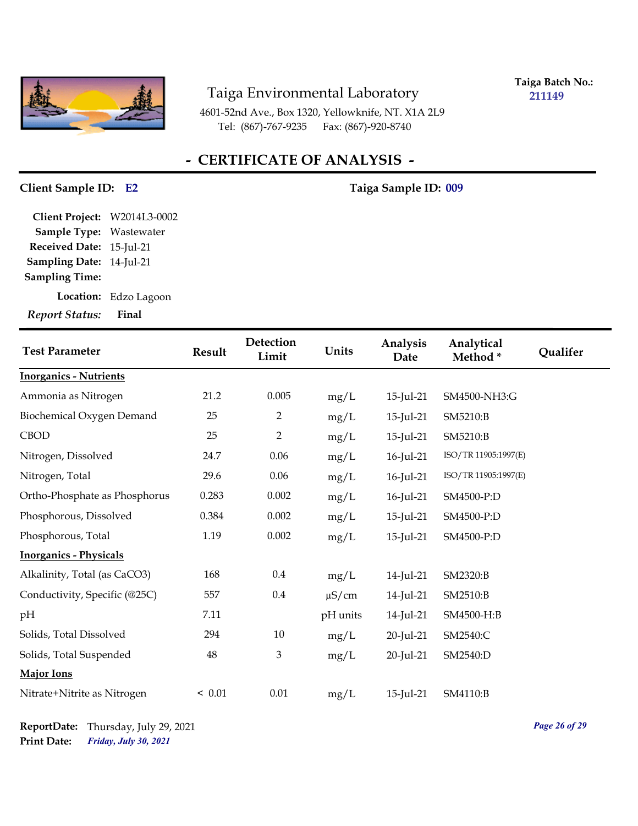

**Taiga Batch No.: 211149**

4601-52nd Ave., Box 1320, Yellowknife, NT. X1A 2L9 Tel: (867)-767-9235 Fax: (867)-920-8740

## **- CERTIFICATE OF ANALYSIS -**

#### **Client Sample ID: Taiga Sample ID: E2 009**

**Sampling Date:** 14-Jul-21 **Received Date:** 15-Jul-21 **Client Project:** W2014L3-0002 **Sample Type:** Wastewater **Sampling Time:**

**Location:** Edzo Lagoon

| <b>Test Parameter</b>         | Result | Detection<br>Limit | Units      | Analysis<br>Date | Analytical<br>Method* | Qualifer |
|-------------------------------|--------|--------------------|------------|------------------|-----------------------|----------|
| <b>Inorganics - Nutrients</b> |        |                    |            |                  |                       |          |
| Ammonia as Nitrogen           | 21.2   | 0.005              | mg/L       | 15-Jul-21        | SM4500-NH3:G          |          |
| Biochemical Oxygen Demand     | 25     | $\overline{2}$     | mg/L       | 15-Jul-21        | SM5210:B              |          |
| <b>CBOD</b>                   | 25     | $\overline{2}$     | mg/L       | 15-Jul-21        | SM5210:B              |          |
| Nitrogen, Dissolved           | 24.7   | 0.06               | mg/L       | 16-Jul-21        | ISO/TR 11905:1997(E)  |          |
| Nitrogen, Total               | 29.6   | 0.06               | mg/L       | $16$ -Jul-21     | ISO/TR 11905:1997(E)  |          |
| Ortho-Phosphate as Phosphorus | 0.283  | 0.002              | mg/L       | 16-Jul-21        | SM4500-P:D            |          |
| Phosphorous, Dissolved        | 0.384  | 0.002              | mg/L       | 15-Jul-21        | SM4500-P:D            |          |
| Phosphorous, Total            | 1.19   | 0.002              | mg/L       | 15-Jul-21        | SM4500-P:D            |          |
| <b>Inorganics - Physicals</b> |        |                    |            |                  |                       |          |
| Alkalinity, Total (as CaCO3)  | 168    | $0.4\,$            | mg/L       | 14-Jul-21        | SM2320:B              |          |
| Conductivity, Specific (@25C) | 557    | 0.4                | $\mu$ S/cm | 14-Jul-21        | SM2510:B              |          |
| pН                            | 7.11   |                    | pH units   | 14-Jul-21        | SM4500-H:B            |          |
| Solids, Total Dissolved       | 294    | 10                 | mg/L       | 20-Jul-21        | SM2540:C              |          |
| Solids, Total Suspended       | 48     | $\mathfrak{Z}$     | mg/L       | 20-Jul-21        | SM2540:D              |          |
| <b>Major Ions</b>             |        |                    |            |                  |                       |          |
| Nitrate+Nitrite as Nitrogen   | < 0.01 | $0.01\,$           | mg/L       | 15-Jul-21        | SM4110:B              |          |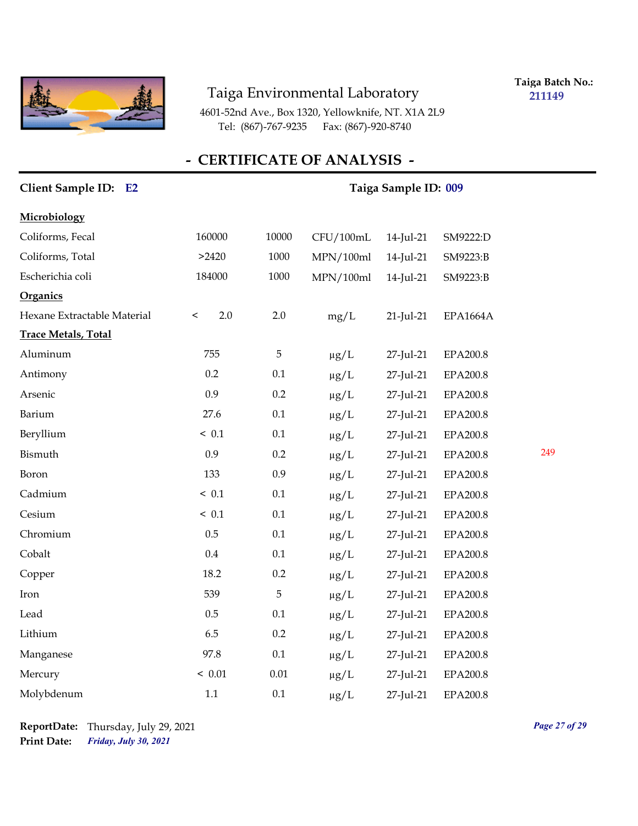

**Taiga Batch No.: 211149**

4601-52nd Ave., Box 1320, Yellowknife, NT. X1A 2L9 Tel: (867)-767-9235 Fax: (867)-920-8740

| <b>Client Sample ID:</b><br><b>E2</b> | Taiga Sample ID: 009 |             |           |           |                 |     |
|---------------------------------------|----------------------|-------------|-----------|-----------|-----------------|-----|
| Microbiology                          |                      |             |           |           |                 |     |
| Coliforms, Fecal                      | 160000               | 10000       | CFU/100mL | 14-Jul-21 | SM9222:D        |     |
| Coliforms, Total                      | >2420                | 1000        | MPN/100ml | 14-Jul-21 | SM9223:B        |     |
| Escherichia coli                      | 184000               | 1000        | MPN/100ml | 14-Jul-21 | SM9223:B        |     |
| <b>Organics</b>                       |                      |             |           |           |                 |     |
| Hexane Extractable Material           | 2.0<br>$\,<\,$       | $2.0\,$     | mg/L      | 21-Jul-21 | <b>EPA1664A</b> |     |
| <b>Trace Metals, Total</b>            |                      |             |           |           |                 |     |
| Aluminum                              | 755                  | $\mathbf 5$ | $\mu g/L$ | 27-Jul-21 | EPA200.8        |     |
| Antimony                              | 0.2                  | $0.1\,$     | $\mu g/L$ | 27-Jul-21 | EPA200.8        |     |
| Arsenic                               | 0.9                  | 0.2         | $\mu g/L$ | 27-Jul-21 | EPA200.8        |     |
| Barium                                | 27.6                 | 0.1         | $\mu g/L$ | 27-Jul-21 | EPA200.8        |     |
| Beryllium                             | ~< 0.1               | 0.1         | $\mu g/L$ | 27-Jul-21 | EPA200.8        |     |
| Bismuth                               | 0.9                  | 0.2         | $\mu g/L$ | 27-Jul-21 | EPA200.8        | 249 |
| Boron                                 | 133                  | 0.9         | $\mu g/L$ | 27-Jul-21 | EPA200.8        |     |
| Cadmium                               | ~< 0.1               | 0.1         | $\mu g/L$ | 27-Jul-21 | EPA200.8        |     |
| Cesium                                | ~< 0.1               | 0.1         | $\mu g/L$ | 27-Jul-21 | EPA200.8        |     |
| Chromium                              | 0.5                  | 0.1         | $\mu g/L$ | 27-Jul-21 | EPA200.8        |     |
| Cobalt                                | $0.4\,$              | 0.1         | $\mu g/L$ | 27-Jul-21 | EPA200.8        |     |
| Copper                                | 18.2                 | 0.2         | $\mu g/L$ | 27-Jul-21 | EPA200.8        |     |
| Iron                                  | 539                  | 5           | $\mu g/L$ | 27-Jul-21 | EPA200.8        |     |
| Lead                                  | 0.5                  | 0.1         | $\mu g/L$ | 27-Jul-21 | EPA200.8        |     |
| Lithium                               | 6.5                  | 0.2         | $\mu g/L$ | 27-Jul-21 | EPA200.8        |     |
| Manganese                             | 97.8                 | 0.1         | $\mu g/L$ | 27-Jul-21 | EPA200.8        |     |
| Mercury                               | < 0.01               | $0.01\,$    | $\mu g/L$ | 27-Jul-21 | EPA200.8        |     |
| Molybdenum                            | 1.1                  | 0.1         | $\mu$ g/L | 27-Jul-21 | EPA200.8        |     |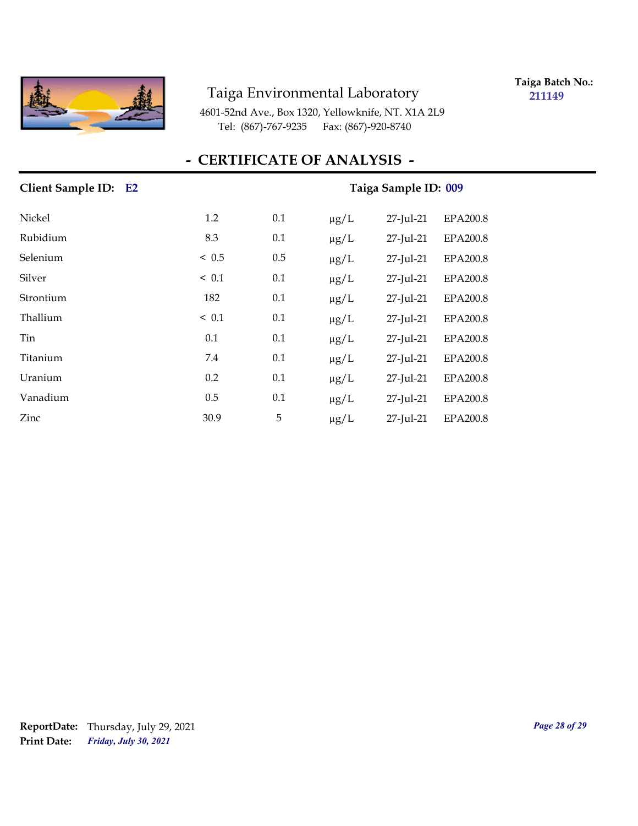

**Taiga Batch No.: 211149**

4601-52nd Ave., Box 1320, Yellowknife, NT. X1A 2L9 Tel: (867)-767-9235 Fax: (867)-920-8740

## **- CERTIFICATE OF ANALYSIS -**

| Client Sample ID: E2 |            | Taiga Sample ID: 009 |                                           |  |  |
|----------------------|------------|----------------------|-------------------------------------------|--|--|
| Nickel               | 1.2        | 0.1                  | 27-Jul-21<br><b>EPA200.8</b><br>$\mu$ g/L |  |  |
| Rubidium             | 8.3        | 0.1                  | <b>EPA200.8</b><br>$\mu g/L$<br>27-Jul-21 |  |  |
| Selenium             | ~< 0.5     | 0.5                  | <b>EPA200.8</b><br>$\mu g/L$<br>27-Jul-21 |  |  |
| Silver               | $\leq 0.1$ | 0.1                  | 27-Jul-21<br>EPA200.8<br>$\mu g/L$        |  |  |
| Strontium            | 182        | 0.1                  | EPA200.8<br>$\mu g/L$<br>27-Jul-21        |  |  |
| Thallium             | $\leq 0.1$ | 0.1                  | EPA200.8<br>$\mu g/L$<br>27-Jul-21        |  |  |
| Tin                  | 0.1        | 0.1                  | $\mu g/L$<br>27-Jul-21<br>EPA200.8        |  |  |
| Titanium             | 7.4        | 0.1                  | EPA200.8<br>$\mu g/L$<br>27-Jul-21        |  |  |
| Uranium              | 0.2        | 0.1                  | 27-Jul-21<br>EPA200.8<br>$\mu g/L$        |  |  |
| Vanadium             | 0.5        | 0.1                  | EPA200.8<br>$\mu g/L$<br>27-Jul-21        |  |  |
| Zinc                 | 30.9       | 5                    | 27-Jul-21<br>$\mu g/L$<br>EPA200.8        |  |  |

## *Friday, July 30, 2021* **Print Date: ReportDate:** Thursday, July 29, 2021